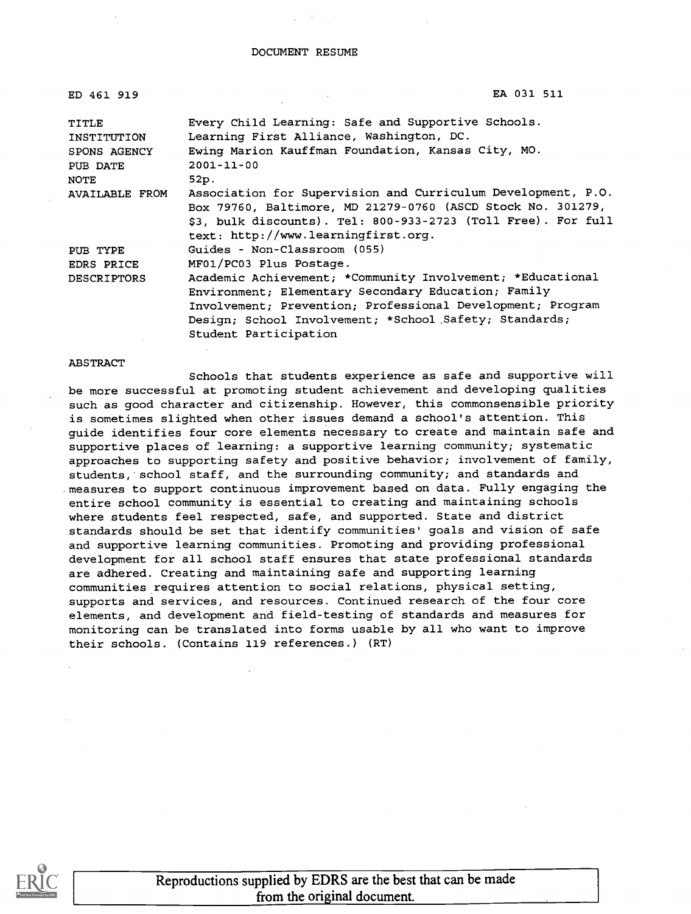| ED 461 919         | EA 031 511                                                    |
|--------------------|---------------------------------------------------------------|
| TITLE              | Every Child Learning: Safe and Supportive Schools.            |
| INSTITUTION        | Learning First Alliance, Washington, DC.                      |
| SPONS AGENCY       | Ewing Marion Kauffman Foundation, Kansas City, MO.            |
| PUB DATE           | $2001 - 11 - 00$                                              |
| NOTE               | 52p.                                                          |
| AVAILABLE FROM     | Association for Supervision and Curriculum Development, P.O.  |
|                    | Box 79760, Baltimore, MD 21279-0760 (ASCD Stock No. 301279,   |
|                    | \$3, bulk discounts). Tel: 800-933-2723 (Toll Free). For full |
|                    | text: http://www.learningfirst.org.                           |
| PUB TYPE           | Guides - Non-Classroom (055)                                  |
| EDRS PRICE         | MF01/PC03 Plus Postage.                                       |
| <b>DESCRIPTORS</b> | Academic Achievement; *Community Involvement; *Educational    |
|                    | Environment; Elementary Secondary Education; Family           |
|                    | Involvement; Prevention; Professional Development; Program    |
|                    | Design; School Involvement; *School Safety; Standards;        |
|                    | Student Participation                                         |

#### ABSTRACT

Schools that students experience as safe and supportive will be more successful at promoting student achievement and developing qualities such as good character and citizenship. However, this commonsensible priority is sometimes slighted when other issues demand a school's attention. This guide identifies four core elements necessary to create and maintain safe and supportive places of learning: a supportive learning community; systematic approaches to supporting safety and positive behavior; involvement of family, students, school staff, and the surrounding community; and standards and measures to support continuous improvement based on data. Fully engaging the entire school community is essential to creating and maintaining schools where students feel respected, safe, and supported. State and district standards should be set that identify communities' goals and vision of safe and supportive learning communities. Promoting and providing professional development for all school staff ensures that state professional standards are adhered. Creating and maintaining safe and supporting learning communities requires attention to social relations, physical setting, supports and services, and resources. Continued research of the four core elements, and development and field-testing of standards and measures for monitoring can be translated into forms usable by all who want to improve their schools. (Contains 119 references.) (RT)



Reproductions supplied by EDRS are the best that can be made from the original document.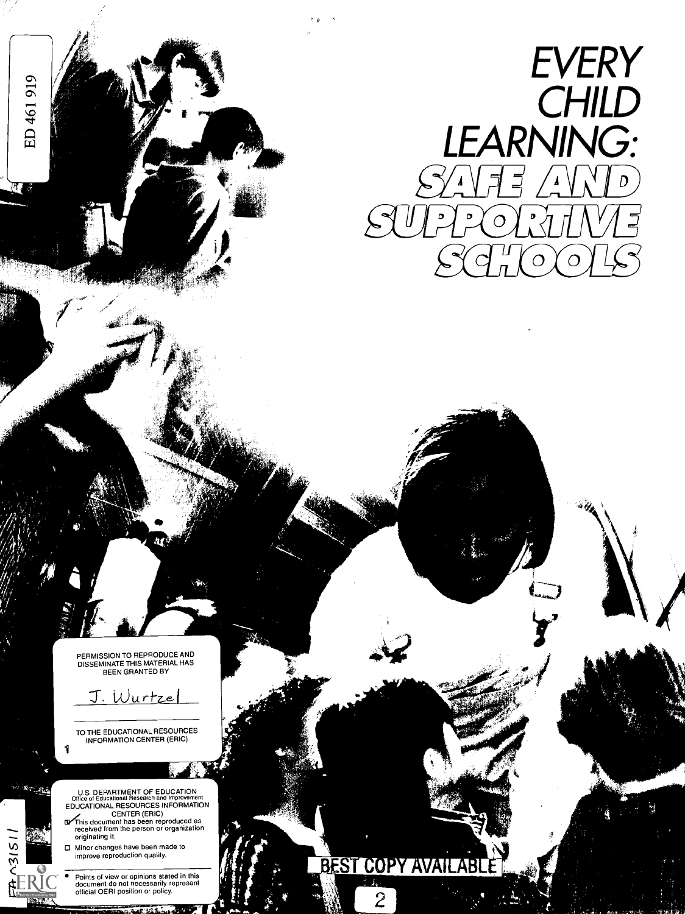

PERMISSION TO REPRODUCE AND<br>DISSEMINATE THIS MATERIAL HAS<br>BEEN GRANTED BY

441/P

<u>J. Wurtze</u>

TO THE EDUCATIONAL RESOURCES INFORMATION CENTER (ERIC)

1

**WATER** 

 $78151$ 

ED 461919

 $\sqrt{2}$ 

U.S. DEPARTMENT OF EDUCATION<br>Office of Educational Research and Improvement<br>EDUCATIONAL RESOURCES INFORMATION

- CENTER (ERIC)<br>
This document has been reproduced as<br>
received from the person or organization originating it
- O Minor changes have been made to improve reproduction quality
- Points of view or opinions stated in this document do not necessarily represent official OERI position or policy

48 125

**BEST COPY AVAILABI** 

 $\overline{2}$ 

14.4,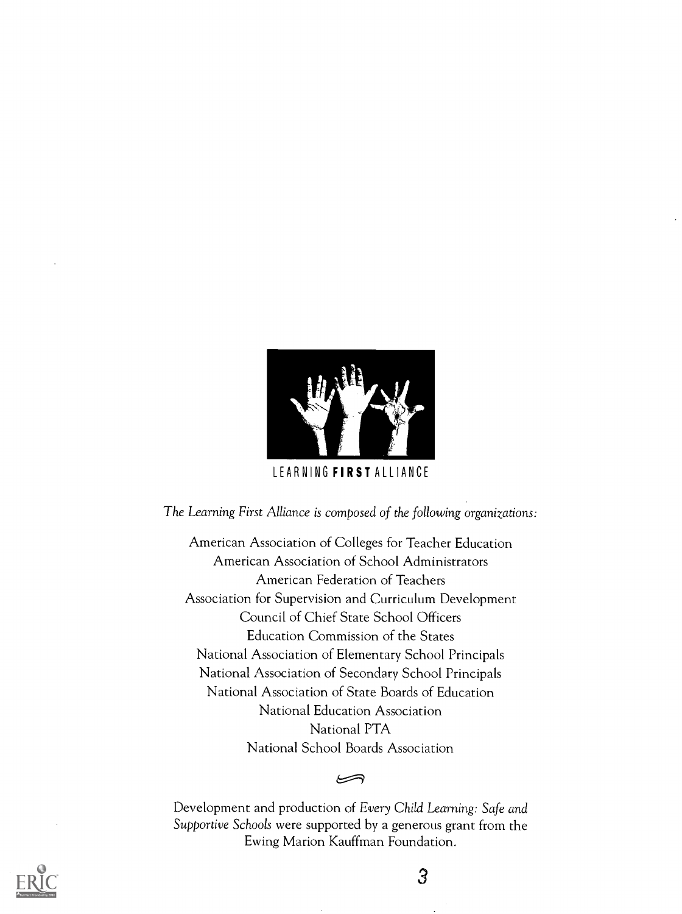

The Learning First Alliance is composed of the following organizations:

American Association of Colleges for Teacher Education American Association of School Administrators American Federation of Teachers Association for Supervision and Curriculum Development Council of Chief State School Officers Education Commission of the States National Association of Elementary School Principals National Association of Secondary School Principals National Association of State Boards of Education National Education Association National PTA National School Boards Association

Development and production of Every Child Learning: Safe and Supportive Schools were supported by a generous grant from the Ewing Marion Kauffman Foundation.

ڪ

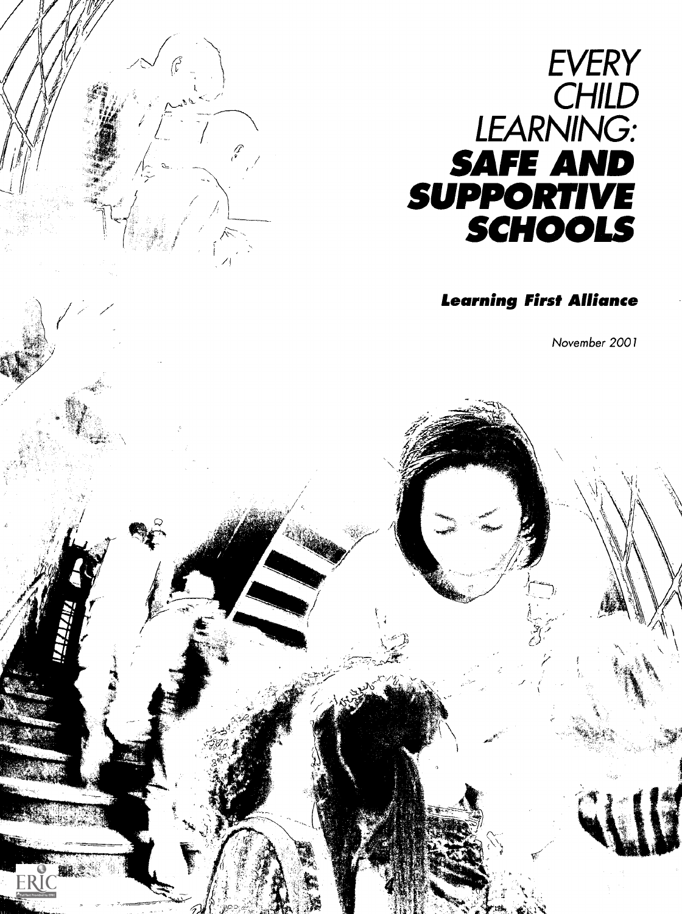

-7

W.

7.W 1. JOST

toC's and Club

" , alleni<br>Kalendar

> - "42

FR

### Learning First Alliance

November 2001

z

,  $1,4$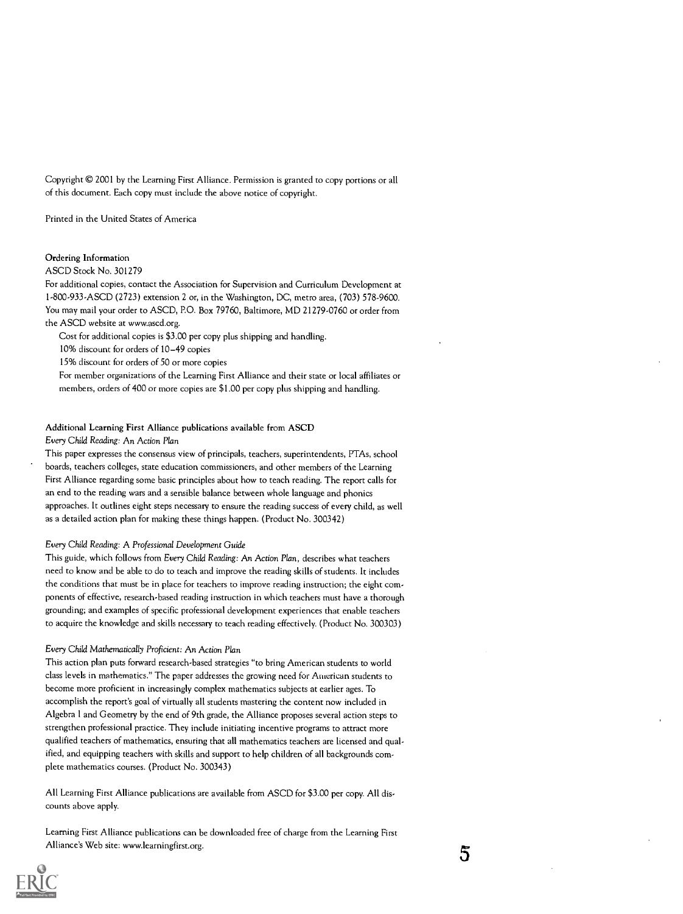Copyright © 2001 by the Learning First Alliance. Permission is granted to copy portions or all of this document. Each copy must include the above notice of copyright.

Printed in the United States of America

#### Ordering Information

#### ASCD Stock No. 301279

For additional copies, contact the Association for Supervision and Curriculum Development at I-800-933-ASCD (2723) extension 2 or, in the Washington, DC, metro area, (703) 578-9600. You may mail your order to ASCD, P.O. Box 79760, Baltimore, MD 21279-0760 or order from the ASCD website at www.ascd.org.

Cost for additional copies is \$3.00 per copy plus shipping and handling.

10% discount for orders of 10-49 copies

15% discount for orders of 50 or more copies

For member organizations of the Learning First Alliance and their state or local affiliates or members, orders of 400 or more copies are \$1.00 per copy plus shipping and handling.

#### Additional Learning First Alliance publications available from ASCD

#### Every Child Reading: An Action Plan

This paper expresses the consensus view of principals, teachers, superintendents, PTAs, school boards, teachers colleges, state education commissioners, and other members of the Learning First Alliance regarding some basic principles about how to teach reading. The report calls for an end to the reading wars and a sensible balance between whole language and phonics approaches. It outlines eight steps necessary to ensure the reading success of every child, as well as a detailed action plan for making these things happen. (Product No. 300342)

#### Every Child Reading: A Professional Development Guide

This guide, which follows from Every Child Reading: An Action Plan, describes what teachers need to know and be able to do to teach and improve the reading skills of students. It includes the conditions that must be in place for teachers to improve reading instruction; the eight components of effective, research-based reading instruction in which teachers must have a thorough grounding; and examples of specific professional development experiences that enable teachers to acquire the knowledge and skills necessary to teach reading effectively. (Product No. 300303)

#### Every Child Mathematically Proficient: An Action Plan

This action plan puts forward research-based strategies "to bring American students to world class levels in mathematics." The paper addresses the growing need for American students to become more proficient in increasingly complex mathematics subjects at earlier ages. To accomplish the report's goal of virtually all students mastering the content now included in Algebra I and Geometry by the end of 9th grade, the Alliance proposes several action steps to strengthen professional practice. They include initiating incentive programs to attract more qualified teachers of mathematics, ensuring that all mathematics teachers are licensed and qualified, and equipping teachers with skills and support to help children of all backgrounds complete mathematics courses. (Product No. 300343)

All Learning First Alliance publications are available from ASCD for \$3.00 per copy. All discounts above apply.

Learning First Alliance publications can be downloaded free of charge from the Learning First Alliance's Web site: www.learningfirst.org. 5

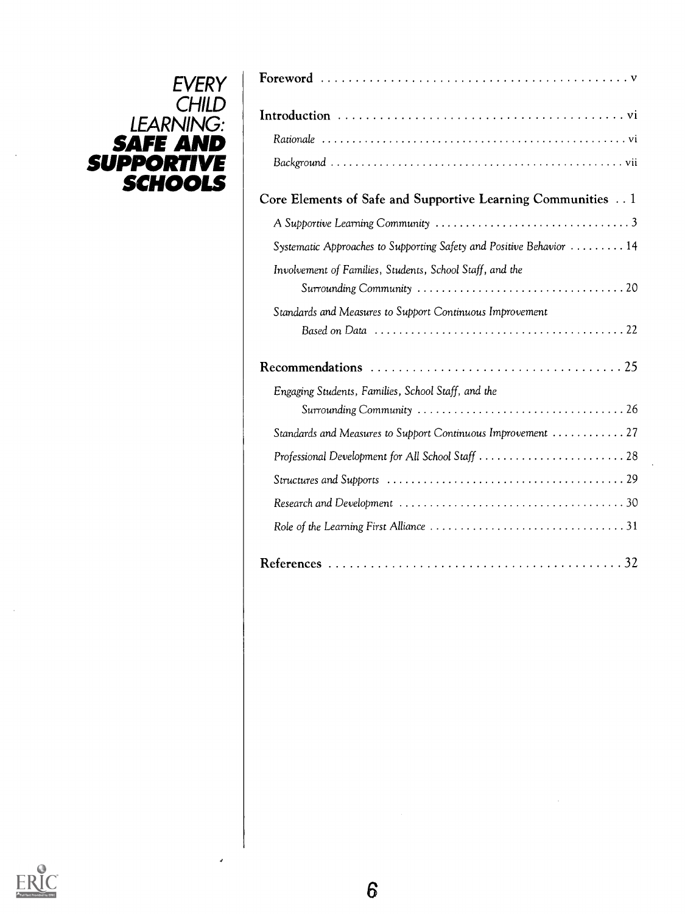# LEARNING: | ¨ **SAFE AND** Rationale ........ **SUPPORTIVE** Background .... SCHOOLS **Andre**

| Core Elements of Safe and Supportive Learning Communities 1                                              |  |
|----------------------------------------------------------------------------------------------------------|--|
|                                                                                                          |  |
| Systematic Approaches to Supporting Safety and Positive Behavior  14                                     |  |
| Involvement of Families, Students, School Staff, and the                                                 |  |
|                                                                                                          |  |
| Standards and Measures to Support Continuous Improvement                                                 |  |
|                                                                                                          |  |
| Recommendations $\ldots \ldots \ldots \ldots \ldots \ldots \ldots \ldots \ldots \ldots \ldots \ldots 25$ |  |
| Engaging Students, Families, School Staff, and the                                                       |  |
|                                                                                                          |  |
| Standards and Measures to Support Continuous Improvement  27                                             |  |
|                                                                                                          |  |
|                                                                                                          |  |
|                                                                                                          |  |
|                                                                                                          |  |



J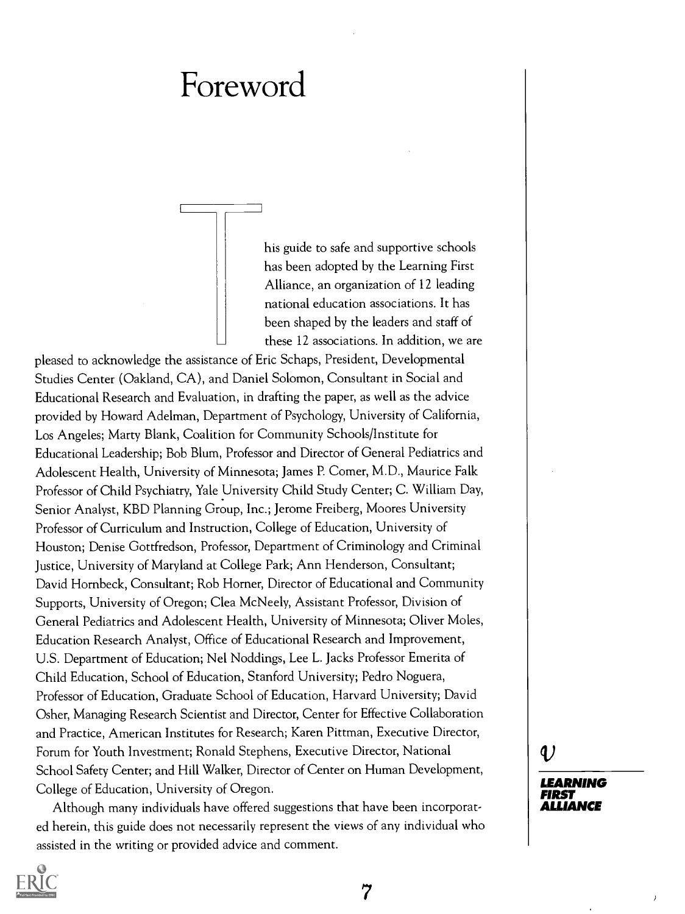# Foreword

I

I

his guide to safe and supportive schools has been adopted by the Learning First Alliance, an organization of 12 leading national education associations. It has been shaped by the leaders and staff of these 12 associations. In addition, we are

pleased to acknowledge the assistance of Eric Schaps, President, Developmental Studies Center (Oakland, CA), and Daniel Solomon, Consultant in Social and Educational Research and Evaluation, in drafting the paper, as well as the advice provided by Howard Adelman, Department of Psychology, University of California, Los Angeles; Marty Blank, Coalition for Community Schools/Institute for Educational Leadership; Bob Blum, Professor and Director of General Pediatrics and Adolescent Health, University of Minnesota; James P. Comer, M.D., Maurice Falk Professor of Child Psychiatry, Yale University Child Study Center; C. William Day, Senior Analyst, KBD Planning Group, Inc.; Jerome Freiberg, Moores University Professor of Curriculum and Instruction, College of Education, University of Houston; Denise Gottfredson, Professor, Department of Criminology and Criminal Justice, University of Maryland at College Park; Ann Henderson, Consultant; David Hornbeck, Consultant; Rob Homer, Director of Educational and Community Supports, University of Oregon; Clea McNeely, Assistant Professor, Division of General Pediatrics and Adolescent Health, University of Minnesota; Oliver Moles, Education Research Analyst, Office of Educational Research and Improvement, U.S. Department of Education; Nel Noddings, Lee L. Jacks Professor Emerita of Child Education, School of Education, Stanford University; Pedro Noguera, Professor of Education, Graduate School of Education, Harvard University; David Osher, Managing Research Scientist and Director, Center for Effective Collaboration and Practice, American Institutes for Research; Karen Pittman, Executive Director, Forum for Youth Investment; Ronald Stephens, Executive Director, National School Safety Center; and Hill Walker, Director of Center on Human Development, College of Education, University of Oregon.

Although many individuals have offered suggestions that have been incorporated herein, this guide does not necessarily represent the views of any individual who assisted in the writing or provided advice and comment.

## $\mathbf v$

LEARNING FIRST ALLIANCE

)

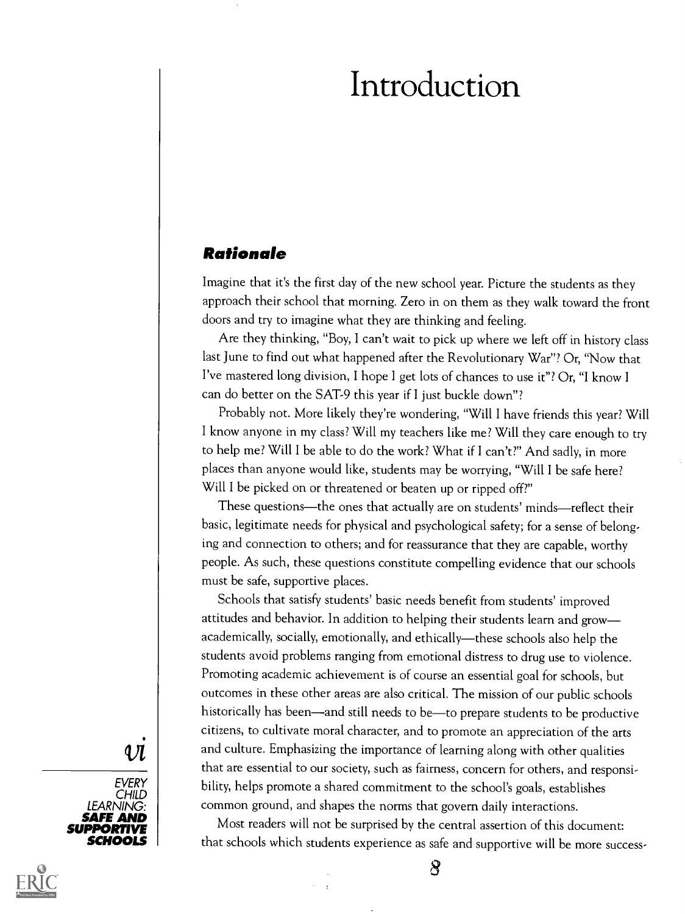# Introduction

#### Rationale

Imagine that it's the first day of the new school year. Picture the students as they approach their school that morning. Zero in on them as they walk toward the front doors and try to imagine what they are thinking and feeling.

Are they thinking, "Boy, I can't wait to pick up where we left off in history class last June to find out what happened after the Revolutionary War"? Or, "Now that I've mastered long division, I hope I get lots of chances to use it"? Or, "I know I can do better on the SAT-9 this year if I just buckle down"?

Probably not. More likely they're wondering, "Will I have friends this year? Will I know anyone in my class? Will my teachers like me? Will they care enough to try to help me? Will I be able to do the work? What if I can't?" And sadly, in more places than anyone would like, students may be worrying, "Will I be safe here? Will I be picked on or threatened or beaten up or ripped off?"

These questions-the ones that actually are on students' minds-reflect their basic, legitimate needs for physical and psychological safety; for a sense of belonging and connection to others; and for reassurance that they are capable, worthy people. As such, these questions constitute compelling evidence that our schools must be safe, supportive places.

Schools that satisfy students' basic needs benefit from students' improved attitudes and behavior. In addition to helping their students learn and grow academically, socially, emotionally, and ethically-these schools also help the students avoid problems ranging from emotional distress to drug use to violence. Promoting academic achievement is of course an essential goal for schools, but outcomes in these other areas are also critical. The mission of our public schools historically has been—and still needs to be—to prepare students to be productive citizens, to cultivate moral character, and to promote an appreciation of the arts and culture. Emphasizing the importance of learning along with other qualities that are essential to our society, such as fairness, concern for others, and responsibility, helps promote a shared commitment to the school's goals, establishes common ground, and shapes the norms that govern daily interactions.

**SCHOOLS** | that schools which students experience as safe and supportive will be more success-Most readers will not be surprised by the central assertion of this document:

 $\bm{\mathcal{R}}$ 

### 4 Л



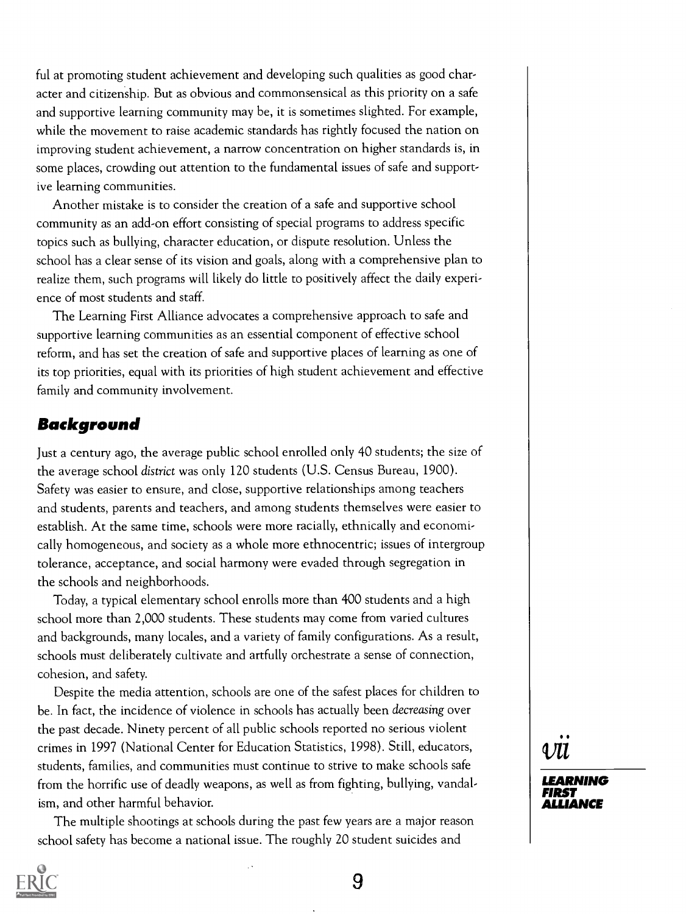ful at promoting student achievement and developing such qualities as good character and citizenship. But as obvious and commonsensical as this priority on a safe and supportive learning community may be, it is sometimes slighted. For example, while the movement to raise academic standards has rightly focused the nation on improving student achievement, a narrow concentration on higher standards is, in some places, crowding out attention to the fundamental issues of safe and supportive learning communities.

Another mistake is to consider the creation of a safe and supportive school community as an add-on effort consisting of special programs to address specific topics such as bullying, character education, or dispute resolution. Unless the school has a clear sense of its vision and goals, along with a comprehensive plan to realize them, such programs will likely do little to positively affect the daily experience of most students and staff.

The Learning First Alliance advocates a comprehensive approach to safe and supportive learning communities as an essential component of effective school reform, and has set the creation of safe and supportive places of learning as one of its top priorities, equal with its priorities of high student achievement and effective family and community involvement.

### Background

Just a century ago, the average public school enrolled only 40 students; the size of the average school district was only 120 students (U.S. Census Bureau, 1900). Safety was easier to ensure, and close, supportive relationships among teachers and students, parents and teachers, and among students themselves were easier to establish. At the same time, schools were more racially, ethnically and economically homogeneous, and society as a whole more ethnocentric; issues of intergroup tolerance, acceptance, and social harmony were evaded through segregation in the schools and neighborhoods.

Today, a typical elementary school enrolls more than 400 students and a high school more than 2,000 students. These students may come from varied cultures and backgrounds, many locales, and a variety of family configurations. As a result, schools must deliberately cultivate and artfully orchestrate a sense of connection, cohesion, and safety.

Despite the media attention, schools are one of the safest places for children to be. In fact, the incidence of violence in schools has actually been decreasing over the past decade. Ninety percent of all public schools reported no serious violent crimes in 1997 (National Center for Education Statistics, 1998). Still, educators, students, families, and communities must continue to strive to make schools safe from the horrific use of deadly weapons, as well as from fighting, bullying, vandalism, and other harmful behavior.

The multiple shootings at schools during the past few years are a major reason school safety has become a national issue. The roughly 20 student suicides and

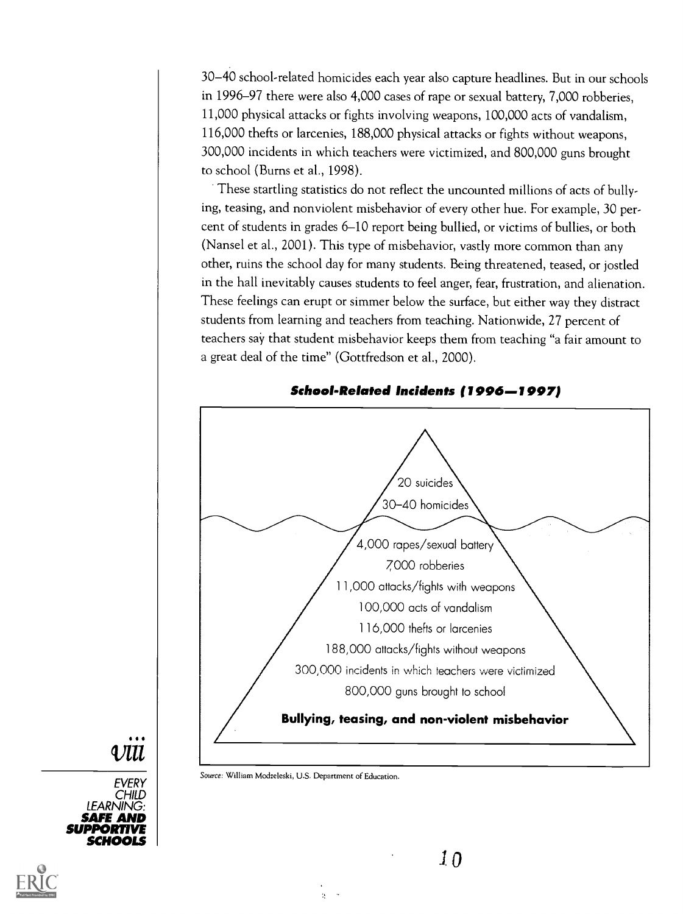30-40 school-related homicides each year also capture headlines. But in our schools in 1996-97 there were also 4,000 cases of rape or sexual battery, 7,000 robberies, 11,000 physical attacks or fights involving weapons, 100,000 acts of vandalism, 116,000 thefts or larcenies, 188,000 physical attacks or fights without weapons, 300,000 incidents in which teachers were victimized, and 800,000 guns brought to school (Bums et al., 1998).

These startling statistics do not reflect the uncounted millions of acts of bullying, teasing, and nonviolent misbehavior of every other hue. For example, 30 percent of students in grades 6-10 report being bullied, or victims of bullies, or both (Nansel et al., 2001). This type of misbehavior, vastly more common than any other, ruins the school day for many students. Being threatened, teased, or jostled in the hall inevitably causes students to feel anger, fear, frustration, and alienation. These feelings can erupt or simmer below the surface, but either way they distract students from learning and teachers from teaching. Nationwide, 27 percent of teachers say that student misbehavior keeps them from teaching "a fair amount to a great deal of the time" (Gottfredson et al., 2000).



School-Related Incidents (1996–1997)

ЛП

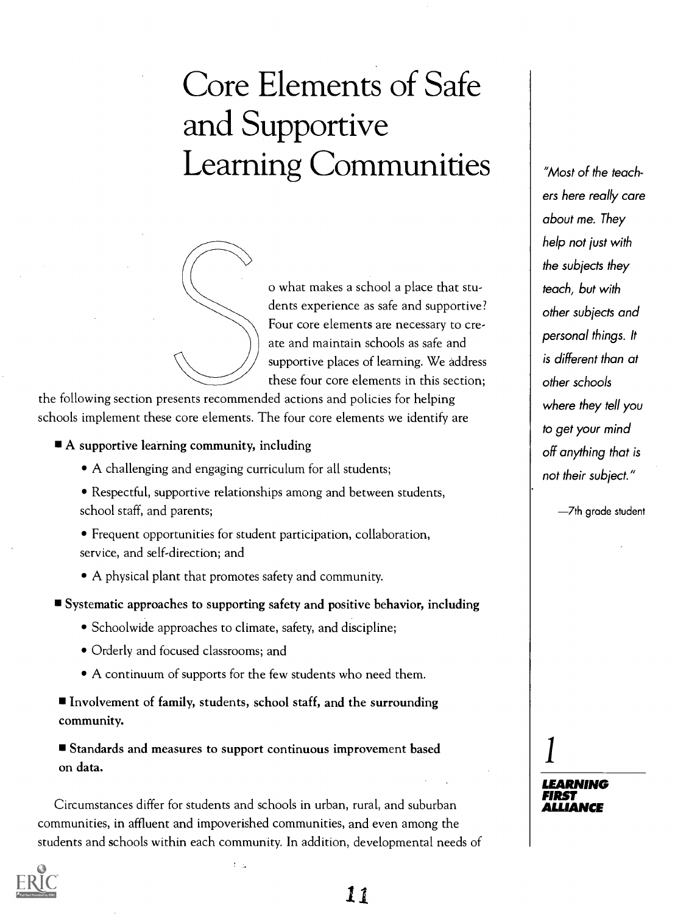# Core Elements of Safe and Supportive Learning Communities



o what makes a school a place that students experience as safe and supportive? Four core elements are necessary to create and maintain schools as safe and supportive places of learning. We address these four core elements in this section;

the following section presents recommended actions and policies for helping schools implement these core elements. The four core elements we identify are

A supportive learning community, including

- A challenging and engaging curriculum for all students;
- Respectful, supportive relationships among and between students, school staff, and parents;
- Frequent opportunities for student participation, collaboration, service, and self-direction; and
- A physical plant that promotes safety and community.

Systematic approaches to supporting safety and positive behavior, including

- Schoolwide approaches to climate, safety, and discipline;
- Orderly and focused classrooms; and
- A continuum of supports for the few students who need them.

Involvement of family, students, school staff, and the surrounding community.

Standards and measures to support continuous improvement based on data.

Circumstances differ for students and schools in urban, rural, and suburban communities, in affluent and impoverished communities, and even among the students and schools within each community. In addition, developmental needs of

 $t_{\rm max}$ 

"Most of the teachers here really care about me. They help not just with the subjects they teach, but with other subjects and personal things. It is different than at other schools where they tell you to get your mind off anything that is not their subject."

7th grade student

LEARNING FIRST ALLIANCE

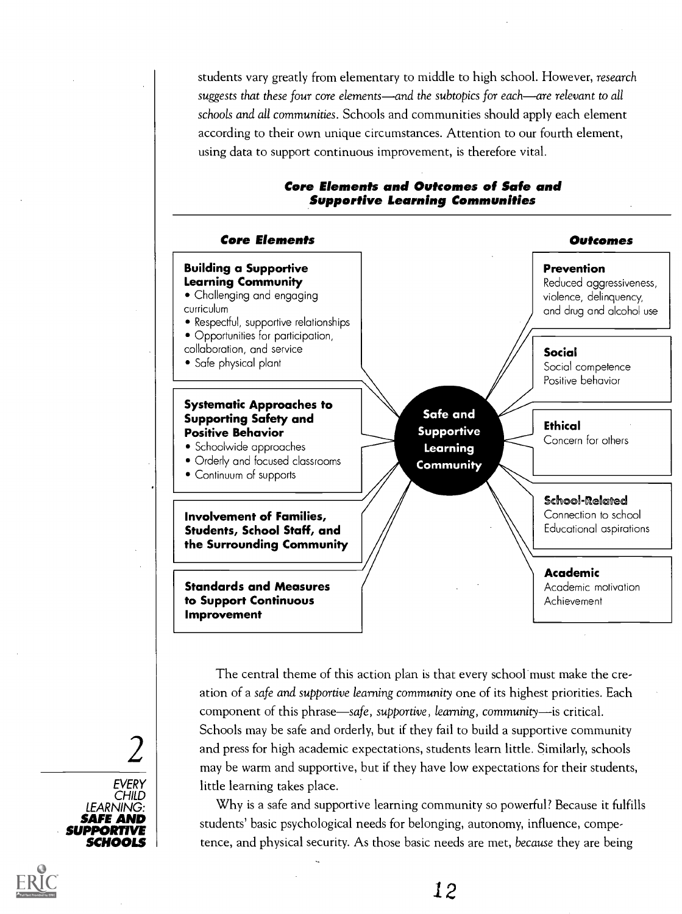students vary greatly from elementary to middle to high school. However, research suggests that these four core elements—and the subtopics for each—are relevant to all schools and all communities. Schools and communities should apply each element according to their own unique circumstances. Attention to our fourth element, using data to support continuous improvement, is therefore vital.



#### Core Elements and Outcomes of Safe and Supportive Learning Communities

 $2 \mid$  and press for high academic expectations, students learn little. Similarly, schools  $_{\rm{max}}$  be warm and supportive, but if they have low expectations for their students The central theme of this action plan is that every school must make the creation of a safe and supportive learning community one of its highest priorities. Each component of this phrase—safe, supportive, learning, community-is critical. Schools may be safe and orderly, but if they fail to build a supportive community may be warm and supportive, but if they have low expectations for their students, little learning takes place.

**SAFE AND** students' basic psychological needs for belonging, autonomy, influence, compe-Why is a safe and supportive learning community so powerful? Because it fulfills tence, and physical security. As those basic needs are met, because they are being

# EVERY CHILD | **North State**

LEARNING: |

SUPPORTIVE SCHOOLS

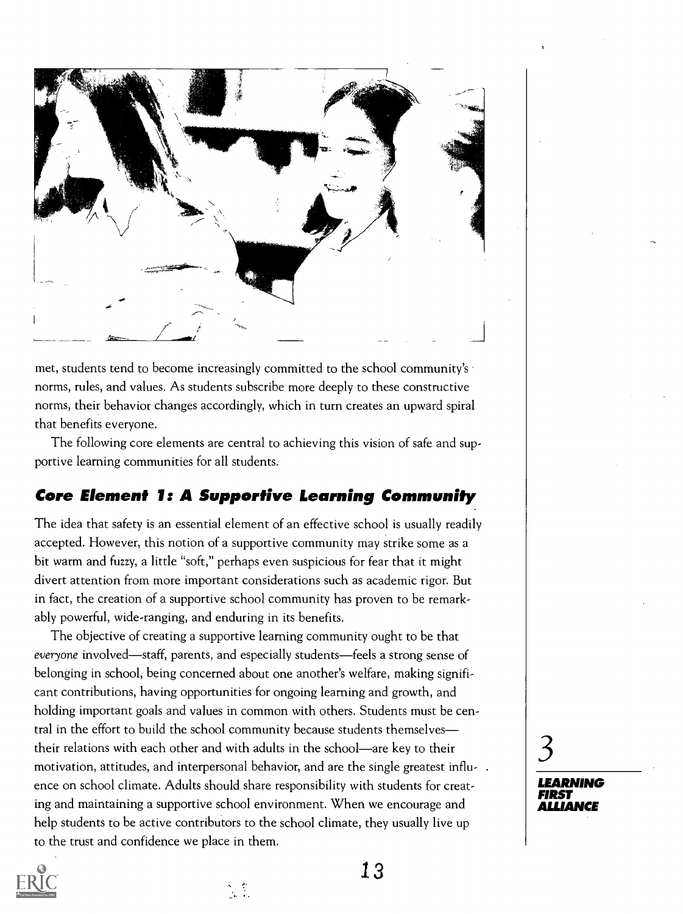

met, students tend to become increasingly committed to the school community's norms, rules, and values. As students subscribe more deeply to these constructive norms, their behavior changes accordingly, which in turn creates an upward spiral that benefits everyone.

The following core elements are central to achieving this vision of safe and supportive learning communities for all students.

### Core Element 1: A Supportive Learning Community

The idea that safety is an essential element of an effective school is usually readily accepted. However, this notion of a supportive community may strike some as a bit warm and fuzzy, a little "soft," perhaps even suspicious for fear that it might divert attention from more important considerations such as academic rigor. But in fact, the creation of a supportive school community has proven to be remarkably powerful, wide-ranging, and enduring in its benefits.

The objective of creating a supportive learning community ought to be that everyone involved—staff, parents, and especially students—feels a strong sense of belonging in school, being concerned about one another's welfare, making significant contributions, having opportunities for ongoing learning and growth, and holding important goals and values in common with others. Students must be central in the effort to build the school community because students themselves their relations with each other and with adults in the school—are key to their motivation, attitudes, and interpersonal behavior, and are the single greatest influence on school climate. Adults should share responsibility with students for creating and maintaining a supportive school environment. When we encourage and help students to be active contributors to the school climate, they usually live up to the trust and confidence we place in them.

 $\mathcal{L}^{\mathcal{L}}$ 



13

LEARNING FIRST ALLIANCE

 $3 \qquad \qquad$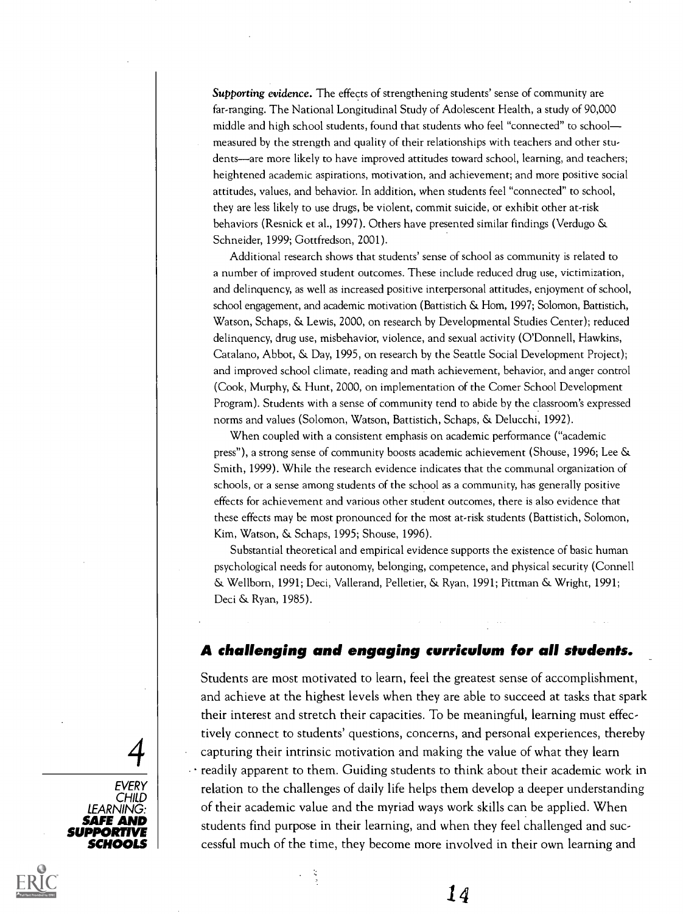Supporting evidence. The effects of strengthening students' sense of community are far-ranging. The National Longitudinal Study of Adolescent Health, a study of 90,000 middle and high school students, found that students who feel "connected" to school measured by the strength and quality of their relationships with teachers and other students—are more likely to have improved attitudes toward school, learning, and teachers; heightened academic aspirations, motivation, and achievement; and more positive social attitudes, values, and behavior. In addition, when students feel "connected" to school, they are less likely to use drugs, be violent, commit suicide, or exhibit other at-risk behaviors (Resnick et al., 1997). Others have presented similar findings (Verdugo & Schneider, 1999; Gottfredson, 2001).

Additional research shows that students' sense of school as community is related to a number of improved student outcomes. These include reduced drug use, victimization, and delinquency, as well as increased positive interpersonal attitudes, enjoyment of school, school engagement, and academic motivation (Battistich & Horn, 1997; Solomon, Battistich, Watson, Schaps, & Lewis, 2000, on research by Developmental Studies Center); reduced delinquency, drug use, misbehavior, violence, and sexual activity (O'Donnell, Hawkins, Catalano, Abbot, & Day, 1995, on research by the Seattle Social Development Project); and improved school climate, reading and math achievement, behavior, and anger control (Cook, Murphy, & Hunt, 2000, on implementation of the Comer School Development Program). Students with a sense of community tend to abide by the classroom's expressed norms and values (Solomon, Watson, Battistich, Schaps, & Delucchi, 1992).

When coupled with a consistent emphasis on academic performance ("academic press"), a strong sense of community boosts academic achievement (Shouse, 1996; Lee & Smith, 1999). While the research evidence indicates that the communal organization of schools, or a sense among students of the school as a community, has generally positive effects for achievement and various other student outcomes, there is also evidence that these effects may be most pronounced for the most at-risk students (Battistich, Solomon, Kim, Watson, & Schaps, 1995; Shouse, 1996).

Substantial theoretical and empirical evidence supports the existence of basic human psychological needs for autonomy, belonging, competence, and physical security (Connell & Wellbom, 1991; Deci, Vallerand, Pelletier, & Ryan, 1991; Pittman & Wright, 1991; Deci & Ryan, 1985).

#### A challenging and engaging curriculum for all students.

 $\boldsymbol{A} \mid$  capturing their intrinsic motivation and making the value of what they learn<br>readily apparent to them. Guiding students to think about their academic work in . Students are most motivated to learn, feel the greatest sense of accomplishment, and achieve at the highest levels when they are able to succeed at tasks that spark their interest and stretch their capacities. To be meaningful, learning must effectively connect to students' questions, concerns, and personal experiences, thereby

**SAFE AND** students find purpose in their learning, and when they feel challenged and suc-**SCHOOLS** | cessful much of the time, they become more involved in their own learning and  $\cdot$  readily apparent to them. Guiding students to think about their academic work in relation to the challenges of daily life helps them develop a deeper understanding of their academic value and the myriad ways work skills can be applied. When

 $\frac{1}{2}$ 

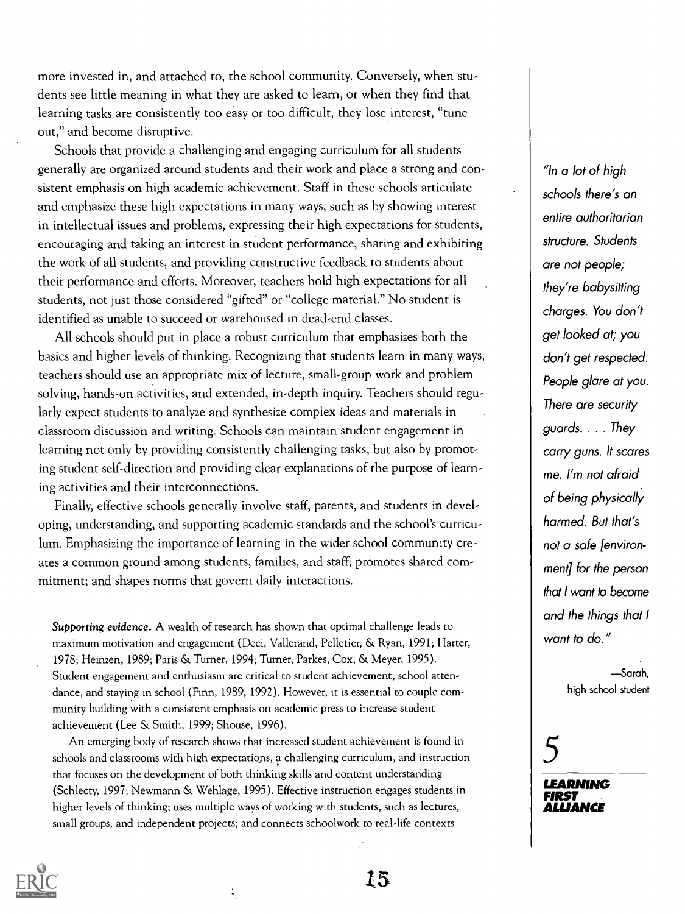more invested in, and attached to, the school community. Conversely, when students see little meaning in what they are asked to learn, or when they find that learning tasks are consistently too easy or too difficult, they lose interest, "tune out," and become disruptive.

Schools that provide a challenging and engaging curriculum for all students generally are organized around students and their work and place a strong and consistent emphasis on high academic achievement. Staff in these schools articulate and emphasize these high expectations in many ways, such as by showing interest in intellectual issues and problems, expressing their high expectations for students, encouraging and taking an interest in student performance, sharing and exhibiting the work of all students, and providing constructive feedback to students about their performance and efforts. Moreover, teachers hold high expectations for all students, not just those considered "gifted" or "college material." No student is identified as unable to succeed or warehoused in dead-end classes.

All schools should put in place a robust curriculum that emphasizes both the basics and higher levels of thinking. Recognizing that students learn in many ways, teachers should use an appropriate mix of lecture, small-group work and problem solving, hands-on activities, and extended, in-depth inquiry. Teachers should regularly expect students to analyze and synthesize complex ideas and materials in classroom discussion and writing. Schools can maintain student engagement in learning not only by providing consistently challenging tasks, but also by promoting student self-direction and providing clear explanations of the purpose of learning activities and their interconnections.

Finally, effective schools generally involve staff, parents, and students in developing, understanding, and supporting academic standards and the school's curriculum. Emphasizing the importance of learning in the wider school community creates a common ground among students, families, and staff; promotes shared commitment; and shapes norms that govern daily interactions.

Supporting evidence. A wealth of research has shown that optimal challenge leads to maximum motivation and engagement (Deci, Vallerand, Pelletier, & Ryan, 1991; Harter, 1978; Heinzen, 1989; Paris & Turner, 1994; Turner, Parkes, Cox, & Meyer, 1995). Student engagement and enthusiasm are critical to student achievement, school attendance, and staying in school (Finn, 1989, 1992). However, it is essential to couple community building with a consistent emphasis on academic press to increase student achievement (Lee & Smith, 1999; Shouse, 1996).

An emerging body of research shows that increased student achievement is found in schools and classrooms with high expectations, a challenging curriculum, and instruction that focuses on the development of both thinking skills and content understanding (Schlecty, 1997; Newmann & Wehlage, 1995). Effective instruction engages students in higher levels of thinking; uses multiple ways of working with students, such as lectures, small groups, and independent projects; and connects schoolwork to real-life contexts

"In a lot of high schools there's an entire authoritarian structure. Students are not people; they're babysitting charges. You don't get looked at; you don't get respected. People glare at you. There are security guards. . . . They carry guns. It scares me. I'm not afraid of being physically harmed. But that's not a safe [environment] for the person that I want to become and the things that I want to do."

> Sarah, high school student

# 5

LEARNING FIRST ALLIANCE

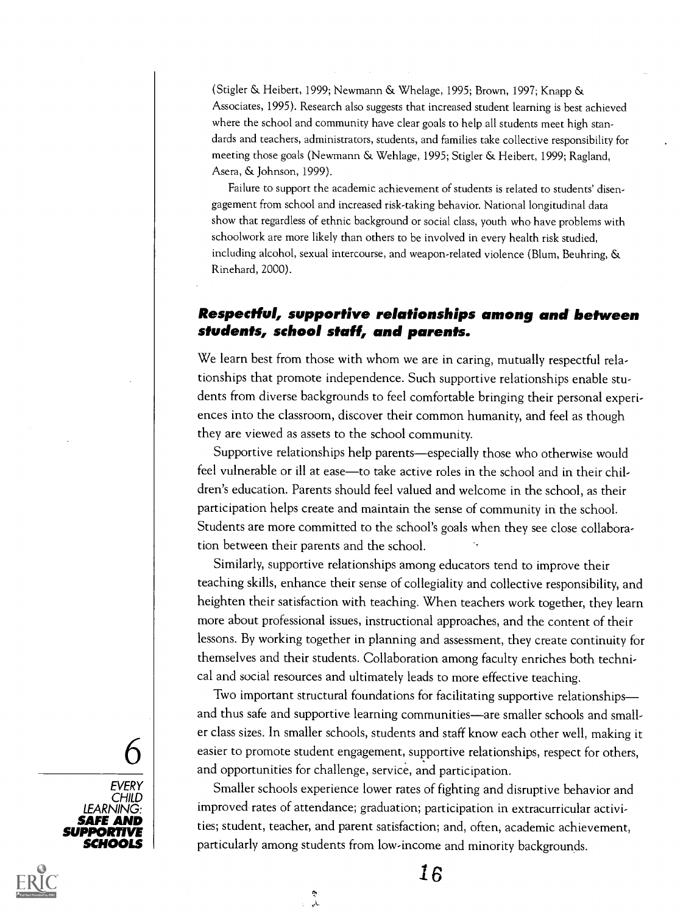(Stigler & Heibert, 1999; Newmann & Whelage, 1995; Brown, 1997; Knapp & Associates, 1995). Research also suggests that increased student learning is best achieved where the school and community have clear goals to help all students meet high standards and teachers, administrators, students, and families take collective responsibility for meeting those goals (Newmann & Wehlage, 1995; Stigler & Heibert, 1999; Ragland, Asera, & Johnson, 1999).

Failure to support the academic achievement of students is related to students' disengagement from school and increased risk-taking behavior. National longitudinal data show that regardless of ethnic background or social class, youth who have problems with schoolwork are more likely than others to be involved in every health risk studied, including alcohol, sexual intercourse, and weapon-related violence (Blum, Beuhring, & Rinehard, 2000).

#### Respectful, supportive relationships among and between students, school staff, and parents.

We learn best from those with whom we are in caring, mutually respectful relationships that promote independence. Such supportive relationships enable students from diverse backgrounds to feel comfortable bringing their personal experiences into the classroom, discover their common humanity, and feel as though they are viewed as assets to the school community.

Supportive relationships help parents—especially those who otherwise would feel vulnerable or ill at ease—to take active roles in the school and in their children's education. Parents should feel valued and welcome in the school, as their participation helps create and maintain the sense of community in the school. Students are more committed to the school's goals when they see close collaboration between their parents and the school.

Similarly, supportive relationships among educators tend to improve their teaching skills, enhance their sense of collegiality and collective responsibility, and heighten their satisfaction with teaching. When teachers work together, they learn more about professional issues, instructional approaches, and the content of their lessons. By working together in planning and assessment, they create continuity for themselves and their students. Collaboration among faculty enriches both technical and social resources and ultimately leads to more effective teaching.

 $\mathbf{6}$  easier to promote student engagement, supportive relationships, respect for others, Two important structural foundations for facilitating supportive relationships and thus safe and supportive learning communities-are smaller schools and smaller class sizes. In smaller schools, students and staff know each other well, making it and opportunities for challenge, service, and participation.

**SAFE AND** ties; student, teacher, and parent satisfaction; and, often, academic achievement, SCHOOLS particularly among students from low-income and minority backgrounds. Smaller schools experience lower rates of fighting and disruptive behavior and improved rates of attendance; graduation; participation in extracurricular activi-

ر<br>بار



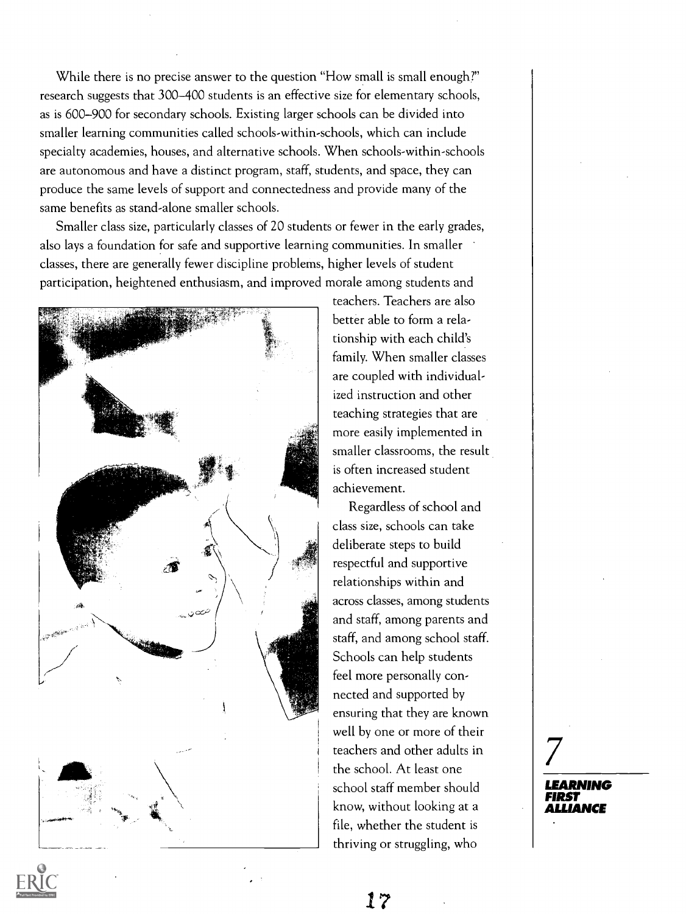While there is no precise answer to the question "How small is small enough?" research suggests that 300-400 students is an effective size for elementary schools, as is 600-900 for secondary schools. Existing larger schools can be divided into smaller learning communities called schools-within-schools, which can include specialty academies, houses, and alternative schools. When schools-within-schools are autonomous and have a distinct program, staff, students, and space, they can produce the same levels of support and connectedness and provide many of the same benefits as stand-alone smaller schools.

Smaller class size, particularly classes of 20 students or fewer in the early grades, also lays a foundation for safe and supportive learning communities. In smaller classes, there are generally fewer discipline problems, higher levels of student participation, heightened enthusiasm, and improved morale among students and



teachers. Teachers are also better able to form a relationship with each child's family. When smaller classes are coupled with individualized instruction and other teaching strategies that are more easily implemented in smaller classrooms, the result is often increased student achievement.

Regardless of school and class size, schools can take deliberate steps to build respectful and supportive relationships within and across classes, among students and staff, among parents and staff, and among school staff. Schools can help students feel more personally connected and supported by ensuring that they are known well by one or more of their teachers and other adults in the school. At least one school staff member should know, without looking at a file, whether the student is thriving or struggling, who

LEARNING FIRST ALLIANCE

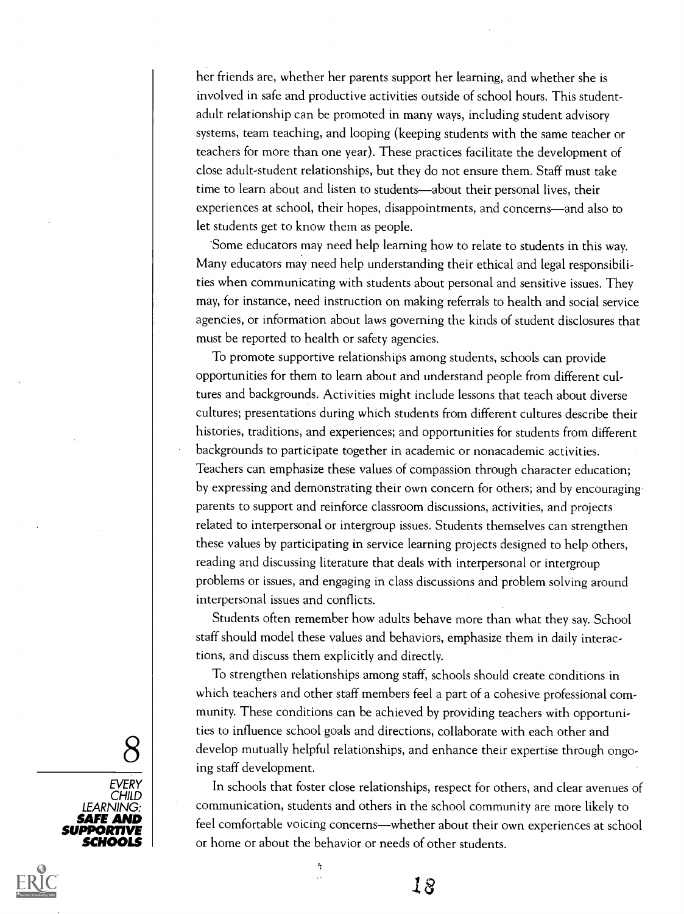her friends are, whether her parents support her learning, and whether she is involved in safe and productive activities outside of school hours. This studentadult relationship can be promoted in many ways, including student advisory systems, team teaching, and looping (keeping students with the same teacher or teachers for more than one year). These practices facilitate the development of close adult-student relationships, but they do not ensure them. Staff must take time to learn about and listen to students—about their personal lives, their experiences at school, their hopes, disappointments, and concerns-and also to let students get to know them as people.

\*Some educators may need help learning how to relate to students in this way. Many educators may need help understanding their ethical and legal responsibilities when communicating with students about personal and sensitive issues. They may, for instance, need instruction on making referrals to health and social service agencies, or information about laws governing the kinds of student disclosures that must be reported to health or safety agencies.

To promote supportive relationships among students, schools can provide opportunities for them to learn about and understand people from different cultures and backgrounds. Activities might include lessons that teach about diverse cultures; presentations during which students from different cultures describe their histories, traditions, and experiences; and opportunities for students from different backgrounds to participate together in academic or nonacademic activities. Teachers can emphasize these values of compassion through character education; by expressing and demonstrating their own concern for others; and by encouraging parents to support and reinforce classroom discussions, activities, and projects related to interpersonal or intergroup issues. Students themselves can strengthen these values by participating in service learning projects designed to help others, reading and discussing literature that deals with interpersonal or intergroup problems or issues, and engaging in class discussions and problem solving around interpersonal issues and conflicts.

Students often remember how adults behave more than what they say. School staff should model these values and behaviors, emphasize them in daily interactions, and discuss them explicitly and directly.

 $8\,$  develop mutually helpful relationships, and enhance their expertise through ongo-<br>ing staff development To strengthen relationships among staff, schools should create conditions in which teachers and other staff members feel a part of a cohesive professional community. These conditions can be achieved by providing teachers with opportunities to influence school goals and directions, collaborate with each other and ing staff development.

**SAFE AND** | feel comfortable voicing concerns—whether about their own experiences at school In schools that foster close relationships, respect for others, and clear avenues of communication, students and others in the school community are more likely to or home or about the behavior or needs of other students.

18





Ą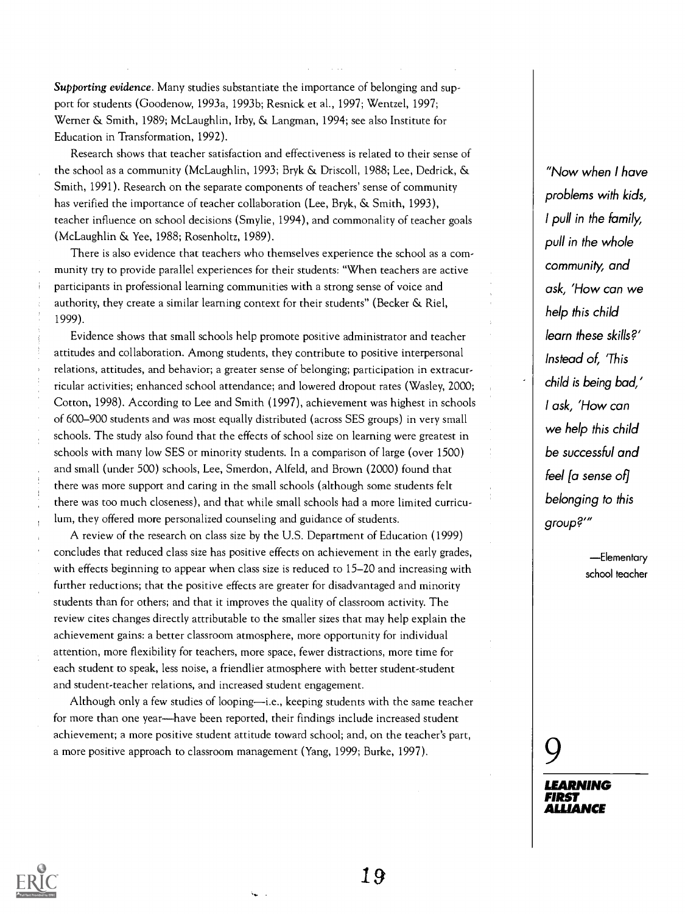Supporting evidence. Many studies substantiate the importance of belonging and support for students (Goodenow, 1993a, 1993b; Resnick et al., 1997; Wentzel, 1997; Werner & Smith, 1989; McLaughlin, Irby, & Langman, 1994; see also Institute for Education in Transformation, 1992).

Research shows that teacher satisfaction and effectiveness is related to their sense of the school as a community (McLaughlin, 1993; Bryk & Driscoll, 1988; Lee, Dedrick, & Smith, 1991). Research on the separate components of teachers' sense of community has verified the importance of teacher collaboration (Lee, Bryk, & Smith, 1993), teacher influence on school decisions (Smylie, 1994), and commonality of teacher goals (McLaughlin & Yee, 1988; Rosenholtz, 1989).

There is also evidence that teachers who themselves experience the school as a community try to provide parallel experiences for their students: "When teachers are active participants in professional learning communities with a strong sense of voice and authority, they create a similar learning context for their students" (Becker & Riel, 1999).

Evidence shows that small schools help promote positive administrator and teacher attitudes and collaboration. Among students, they contribute to positive interpersonal relations, attitudes, and behavior; a greater sense of belonging; participation in extracurricular activities; enhanced school attendance; and lowered dropout rates (Wasley, 2000; Cotton, 1998). According to Lee and Smith (1997), achievement was highest in schools of 600-900 students and was most equally distributed (across SES groups) in very small schools. The study also found that the effects of school size on learning were greatest in schools with many low SES or minority students. In a comparison of large (over 1500) and small (under 500) schools, Lee, Smerdon, Alfeld, and Brown (2000) found that there was more support and caring in the small schools (although some students felt there was too much closeness), and that while small schools had a more limited curriculum, they offered more personalized counseling and guidance of students.

A review of the research on class size by the U.S. Department of Education (1999) concludes that reduced class size has positive effects on achievement in the early grades, with effects beginning to appear when class size is reduced to 15-20 and increasing with further reductions; that the positive effects are greater for disadvantaged and minority students than for others; and that it improves the quality of classroom activity. The review cites changes directly attributable to the smaller sizes that may help explain the achievement gains: a better classroom atmosphere, more opportunity for individual attention, more flexibility for teachers, more space, fewer distractions, more time for each student to speak, less noise, a friendlier atmosphere with better student-student and student-teacher relations, and increased student engagement.

Although only a few studies of looping—i.e., keeping students with the same teacher for more than one year—have been reported, their findings include increased student achievement; a more positive student attitude toward school; and, on the teacher's part, a more positive approach to classroom management (Yang, 1999; Burke, 1997).

"Now when I have problems with kids, I pull in the family, pull in the whole community, and ask, 'How can we help this child learn these skills?' Instead of, 'This child is being bad,' I ask, 'How can we help this child be successful and feel la sense ofl belonging to this group?"

> -Elementary school teacher

9

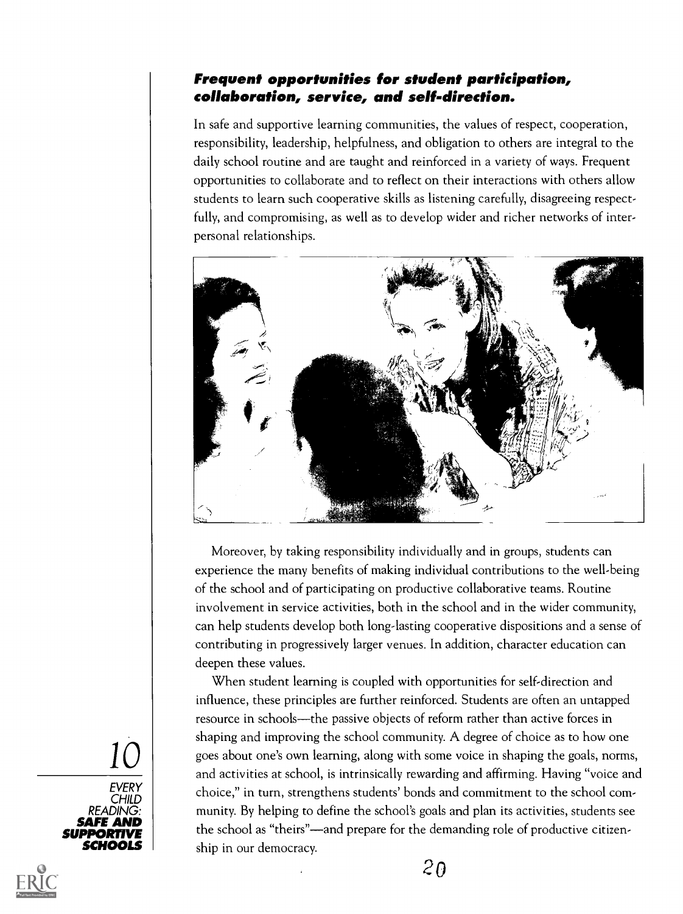#### Frequent opportunities for student participation, collaboration, service, and self-direction.

In safe and supportive learning communities, the values of respect, cooperation, responsibility, leadership, helpfulness, and obligation to others are integral to the daily school routine and are taught and reinforced in a variety of ways. Frequent opportunities to collaborate and to reflect on their interactions with others allow students to learn such cooperative skills as listening carefully, disagreeing respectfully, and compromising, as well as to develop wider and richer networks of interpersonal relationships.



Moreover, by taking responsibility individually and in groups, students can experience the many benefits of making individual contributions to the well-being of the school and of participating on productive collaborative teams. Routine involvement in service activities, both in the school and in the wider community, can help students develop both long-lasting cooperative dispositions and a sense of contributing in progressively larger venues. In addition, character education can deepen these values.

 $\mathcal{I} \cup$  goes about one's own learning, along with some voice in shaping the goals, norms, **SAFE AND** the school as "theirs"—and prepare for the demanding role of productive citizen-SCHOOLS ship in our democracy. When student learning is coupled with opportunities for self-direction and influence, these principles are further reinforced. Students are often an untapped resource in schools—the passive objects of reform rather than active forces in shaping and improving the school community. A degree of choice as to how one and activities at school, is intrinsically rewarding and affirming. Having "voice and choice," in turn, strengthens students' bonds and commitment to the school community. By helping to define the school's goals and plan its activities, students see





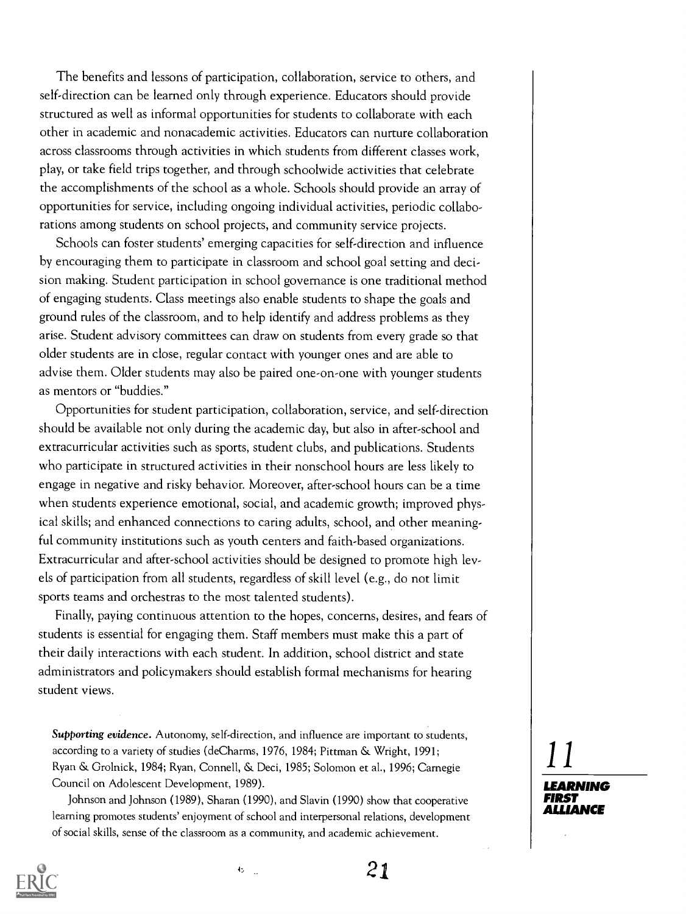The benefits and lessons of participation, collaboration, service to others, and self-direction can be learned only through experience. Educators should provide structured as well as informal opportunities for students to collaborate with each other in academic and nonacademic activities. Educators can nurture collaboration across classrooms through activities in which students from different classes work, play, or take field trips together, and through schoolwide activities that celebrate the accomplishments of the school as a whole. Schools should provide an array of opportunities for service, including ongoing individual activities, periodic collaborations among students on school projects, and community service projects.

Schools can foster students' emerging capacities for self-direction and influence by encouraging them to participate in classroom and school goal setting and decision making. Student participation in school governance is one traditional method of engaging students. Class meetings also enable students to shape the goals and ground rules of the classroom, and to help identify and address problems as they arise. Student advisory committees can draw on students from every grade so that older students are in close, regular contact with younger ones and are able to advise them. Older students may also be paired one-on-one with younger students as mentors or "buddies."

Opportunities for student participation, collaboration, service, and self-direction should be available not only during the academic day, but also in after-school and extracurricular activities such as sports, student clubs, and publications. Students who participate in structured activities in their nonschool hours are less likely to engage in negative and risky behavior. Moreover, after-school hours can be a time when students experience emotional, social, and academic growth; improved physical skills; and enhanced connections to caring adults, school, and other meaningful community institutions such as youth centers and faith-based organizations. Extracurricular and after-school activities should be designed to promote high levels of participation from all students, regardless of skill level (e.g., do not limit sports teams and orchestras to the most talented students).

Finally, paying continuous attention to the hopes, concerns, desires, and fears of students is essential for engaging them. Staff members must make this a part of their daily interactions with each student. In addition, school district and state administrators and policymakers should establish formal mechanisms for hearing student views.

Supporting evidence. Autonomy, self-direction, and influence are important to students, according to a variety of studies (deCharms, 1976, 1984; Pittman & Wright, 1991; Ryan & Grolnick, 1984; Ryan, Connell, & Deci, 1985; Solomon et al., 1996; Carnegie Council on Adolescent Development, 1989).

Johnson and Johnson (1989), Sharan (1990), and Slavin (1990) show that cooperative learning promotes students' enjoyment of school and interpersonal relations, development of social skills, sense of the classroom as a community, and academic achievement.



 $\mathbf{b}$  .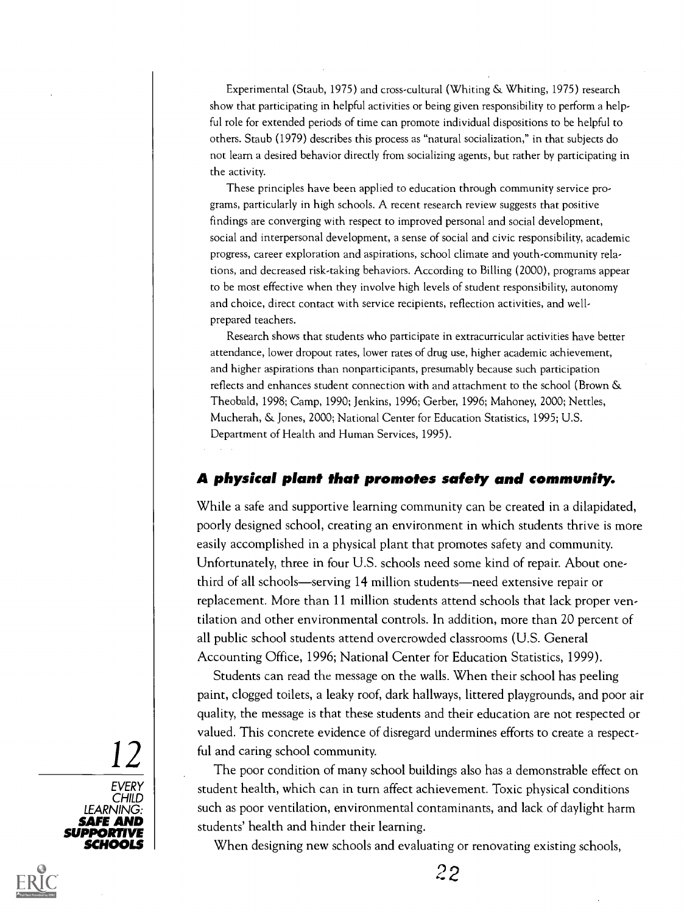Experimental (Staub, 1975) and cross-cultural (Whiting & Whiting, 1975) research show that participating in helpful activities or being given responsibility to perform a helpful role for extended periods of time can promote individual dispositions to be helpful to others. Staub (1979) describes this process as "natural socialization," in that subjects do not learn a desired behavior directly from socializing agents, but rather by participating in the activity.

These principles have been applied to education through community service programs, particularly in high schools. A recent research review suggests that positive findings are converging with respect to improved personal and social development, social and interpersonal development, a sense of social and civic responsibility, academic progress, career exploration and aspirations, school climate and youth-community relations, and decreased risk-taking behaviors. According to Billing (2000), programs appear to be most effective when they involve high levels of student responsibility, autonomy and choice, direct contact with service recipients, reflection activities, and wellprepared teachers.

Research shows that students who participate in extracurricular activities have better attendance, lower dropout rates, lower rates of drug use, higher academic achievement, and higher aspirations than nonparticipants, presumably because such participation reflects and enhances student connection with and attachment to the school (Brown & Theobald, 1998; Camp, 1990; Jenkins, 1996; Gerber, 1996; Mahoney, 2000; Nettles, Mucherah, & Jones, 2000; National Center for Education Statistics, 1995; U.S. Department of Health and Human Services, 1995).

#### A physical plant that promotes safety and community.

While a safe and supportive learning community can be created in a dilapidated, poorly designed school, creating an environment in which students thrive is more easily accomplished in a physical plant that promotes safety and community. Unfortunately, three in four U.S. schools need some kind of repair. About onethird of all schools—serving 14 million students—need extensive repair or replacement. More than 11 million students attend schools that lack proper ventilation and other environmental controls. In addition, more than 20 percent of all public school students attend overcrowded classrooms (U.S. General Accounting Office, 1996; National Center for Education Statistics, 1999).

 $|12|$  ful and caring school community.<br>The poor condition of many school Students can read the message on the walls. When their school has peeling paint, clogged toilets, a leaky roof, dark hallways, littered playgrounds, and poor air quality, the message is that these students and their education are not respected or valued. This concrete evidence of disregard undermines efforts to create a respect-

**SAFE AND** students' health and hinder their learning. The poor condition of many school buildings also has a demonstrable effect on student health, which can in turn affect achievement. Toxic physical conditions such as poor ventilation, environmental contaminants, and lack of daylight harm

When designing new schools and evaluating or renovating existing schools,



SCHOOLS **Night**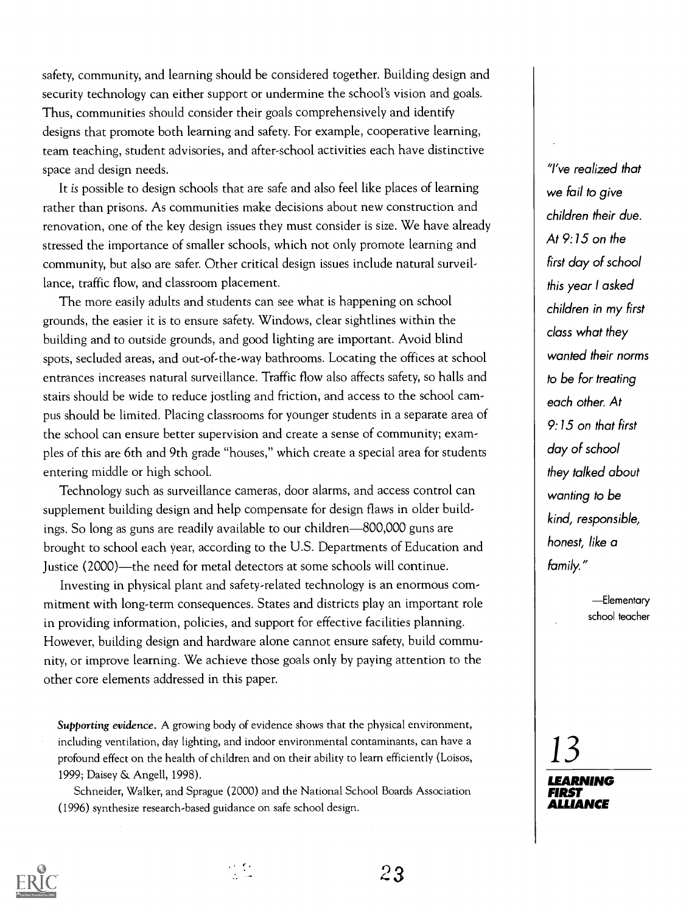safety, community, and learning should be considered together. Building design and security technology can either support or undermine the school's vision and goals. Thus, communities should consider their goals comprehensively and identify designs that promote both learning and safety. For example, cooperative learning, team teaching, student advisories, and after-school activities each have distinctive space and design needs.

It is possible to design schools that are safe and also feel like places of learning rather than prisons. As communities make decisions about new construction and renovation, one of the key design issues they must consider is size. We have already stressed the importance of smaller schools, which not only promote learning and community, but also are safer. Other critical design issues include natural surveillance, traffic flow, and classroom placement.

The more easily adults and students can see what is happening on school grounds, the easier it is to ensure safety. Windows, clear sightlines within the building and to outside grounds, and good lighting are important. Avoid blind spots, secluded areas, and out-of-the-way bathrooms. Locating the offices at school entrances increases natural surveillance. Traffic flow also affects safety, so halls and stairs should be wide to reduce jostling and friction, and access to the school campus should be limited. Placing classrooms for younger students in a separate area of the school can ensure better supervision and create a sense of community; examples of this are 6th and 9th grade "houses," which create a special area for students entering middle or high school.

Technology such as surveillance cameras, door alarms, and access control can supplement building design and help compensate for design flaws in older buildings. So long as guns are readily available to our children—800,000 guns are brought to school each year, according to the U.S. Departments of Education and Justice (2000)—the need for metal detectors at some schools will continue.

Investing in physical plant and safety-related technology is an enormous commitment with long-term consequences. States and districts play an important role in providing information, policies, and support for effective facilities planning. However, building design and hardware alone cannot ensure safety, build community, or improve learning. We achieve those goals only by paying attention to the other core elements addressed in this paper.

Supporting evidence. A growing body of evidence shows that the physical environment, including ventilation, day lighting, and indoor environmental contaminants, can have a profound effect on the health of children and on their ability to learn efficiently (Loisos, 1999; Daisey & Angell, 1998).

Schneider, Walker, and Sprague (2000) and the National School Boards Association (1996) synthesize research-based guidance on safe school design.

"I've realized that we fail to give children their due. At 9:15 on the first day of school this year I asked children in my first class what they wanted their norms to be for treating each other. At 9:15 on that first day of school they talked about wanting to be kind, responsible, honest, like a family."

> -Elementary school teacher



 $23$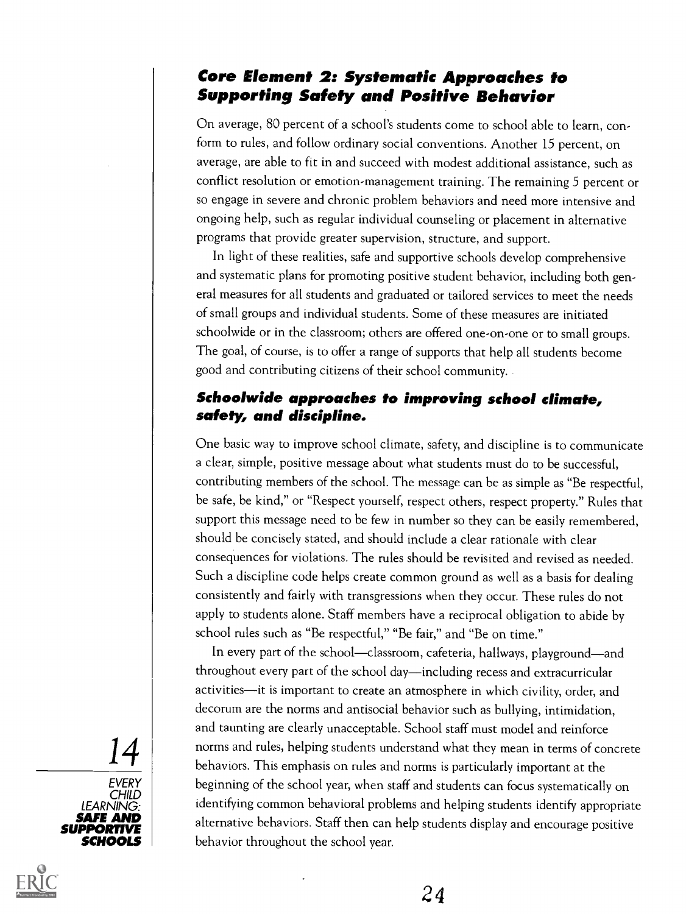### Core Element 2: Systematic Approaches to Supporting Safety and Positive Behavior

On average, 80 percent of a school's students come to school able to learn, conform to rules, and follow ordinary social conventions. Another 15 percent, on average, are able to fit in and succeed with modest additional assistance, such as conflict resolution or emotion-management training. The remaining 5 percent or so engage in severe and chronic problem behaviors and need more intensive and ongoing help, such as regular individual counseling or placement in alternative programs that provide greater supervision, structure, and support.

In light of these realities, safe and supportive schools develop comprehensive and systematic plans for promoting positive student behavior, including both general measures for all students and graduated or tailored services to meet the needs of small groups and individual students. Some of these measures are initiated schoolwide or in the classroom; others are offered one-on-one or to small groups. The goal, of course, is to offer a range of supports that help all students become good and contributing citizens of their school community.

#### Schoolwide approaches to improving school climate, safety, and discipline.

One basic way to improve school climate, safety, and discipline is to communicate a clear, simple, positive message about what students must do to be successful, contributing members of the school. The message can be as simple as "Be respectful, be safe, be kind," or "Respect yourself, respect others, respect property." Rules that support this message need to be few in number so they can be easily remembered, should be concisely stated, and should include a clear rationale with clear consequences for violations. The rules should be revisited and revised as needed. Such a discipline code helps create common ground as well as a basis for dealing consistently and fairly with transgressions when they occur. These rules do not apply to students alone. Staff members have a reciprocal obligation to abide by school rules such as "Be respectful," "Be fair," and "Be on time."

14 morms and rules, helping students understand what they mean in terms of concrete<br>behaviors. This emphasis on rules and norms is particularly important at the **SAFE AND** alternative behaviors. Staff then can help students display and encourage positive In every part of the school—classroom, cafeteria, hallways, playground—and throughout every part of the school day—including recess and extracurricular activities-it is important to create an atmosphere in which civility, order, and decorum are the norms and antisocial behavior such as bullying, intimidation, and taunting are clearly unacceptable. School staff must model and reinforce norms and rules, helping students understand what they mean in terms of concrete beginning of the school year, when staff and students can focus systematically on identifying common behavioral problems and helping students identify appropriate behavior throughout the school year.

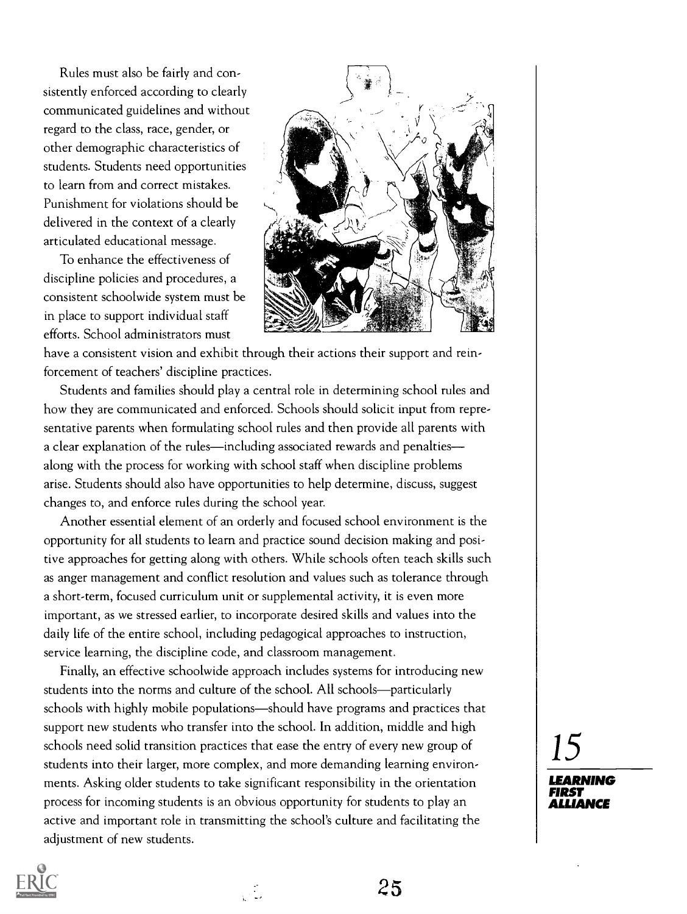Rules must also be fairly and consistently enforced according to clearly communicated guidelines and without regard to the class, race, gender, or other demographic characteristics of students. Students need opportunities to learn from and correct mistakes. Punishment for violations should be delivered in the context of a clearly articulated educational message.

To enhance the effectiveness of discipline policies and procedures, a consistent schoolwide system must be in place to support individual staff efforts. School administrators must



have a consistent vision and exhibit through their actions their support and reinforcement of teachers' discipline practices.

Students and families should play a central role in determining school rules and how they are communicated and enforced. Schools should solicit input from representative parents when formulating school rules and then provide all parents with a clear explanation of the rules—including associated rewards and penalties along with the process for working with school staff when discipline problems arise. Students should also have opportunities to help determine, discuss, suggest changes to, and enforce rules during the school year.

Another essential element of an orderly and focused school environment is the opportunity for all students to learn and practice sound decision making and positive approaches for getting along with others. While schools often teach skills such as anger management and conflict resolution and values such as tolerance through a short-term, focused curriculum unit or supplemental activity, it is even more important, as we stressed earlier, to incorporate desired skills and values into the daily life of the entire school, including pedagogical approaches to instruction, service learning, the discipline code, and classroom management.

Finally, an effective schoolwide approach includes systems for introducing new students into the norms and culture of the school. All schools—particularly schools with highly mobile populations—should have programs and practices that support new students who transfer into the school. In addition, middle and high schools need solid transition practices that ease the entry of every new group of students into their larger, more complex, and more demanding learning environments. Asking older students to take significant responsibility in the orientation process for incoming students is an obvious opportunity for students to play an active and important role in transmitting the school's culture and facilitating the adjustment of new students.

15



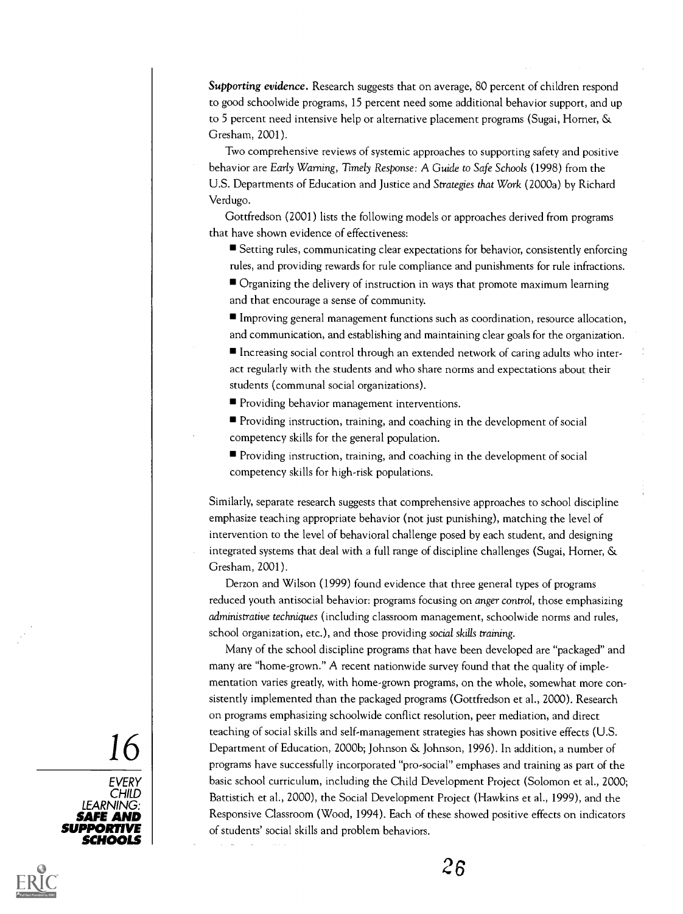Supporting evidence. Research suggests that on average, 80 percent of children respond to good schoolwide programs, 15 percent need some additional behavior support, and up to 5 percent need intensive help or alternative placement programs (Sugai, Homer, & Gresham, 2001).

Two comprehensive reviews of systemic approaches to supporting safety and positive behavior are Early Warning, Timely Response: A Guide to Safe Schools (1998) from the U.S. Departments of Education and Justice and Strategies that Work (2000a) by Richard Verdugo.

Gottfredson (2001) lists the following models or approaches derived from programs that have shown evidence of effectiveness:

Setting rules, communicating clear expectations for behavior, consistently enforcing rules, and providing rewards for rule compliance and punishments for rule infractions.

Organizing the delivery of instruction in ways that promote maximum learning and that encourage a sense of community.

Improving general management functions such as coordination, resource allocation, and communication, and establishing and maintaining clear goals for the organization.

Increasing social control through an extended network of caring adults who interact regularly with the students and who share norms and expectations about their students (communal social organizations).

**Providing behavior management interventions.** 

Providing instruction, training, and coaching in the development of social competency skills for the general population.

Providing instruction, training, and coaching in the development of social competency skills for high-risk populations.

Similarly, separate research suggests that comprehensive approaches to school discipline emphasize teaching appropriate behavior (not just punishing), matching the level of intervention to the level of behavioral challenge posed by each student, and designing integrated systems that deal with a full range of discipline challenges (Sugai, Homer, & Gresham, 2001).

Derzon and Wilson (1999) found evidence that three general types of programs reduced youth antisocial behavior: programs focusing on *anger control*, those emphasizing administrative techniques (including classroom management, schoolwide norms and rules, school organization, etc.), and those providing social skills training.

 $\begin{array}{c|c|c|c|c} \hline \multicolumn{3}{c|}{\text{Department of Education, 2000b; Johnson & Johnson, 1996). In addition, a number of  
programs have successfully incorporated "pro-social" emphases and training as part of the\n}\hline \end{array}$ Many of the school discipline programs that have been developed are "packaged" and many are "home-grown." A recent nationwide survey found that the quality of implementation varies greatly, with home-grown programs, on the whole, somewhat more consistently implemented than the packaged programs (Gottfredson et al., 2000). Research on programs emphasizing schoolwide conflict resolution, peer mediation, and direct teaching of social skills and self-management strategies has shown positive effects (U.S. programs have successfully incorporated "pro-social" emphases and training as part of the basic school curriculum, including the Child Development Project (Solomon et al., 2000; Battistich et al., 2000), the Social Development Project (Hawkins et al., 1999), and the Responsive Classroom (Wood, 1994). Each of these showed positive effects on indicators of students' social skills and problem behaviors.



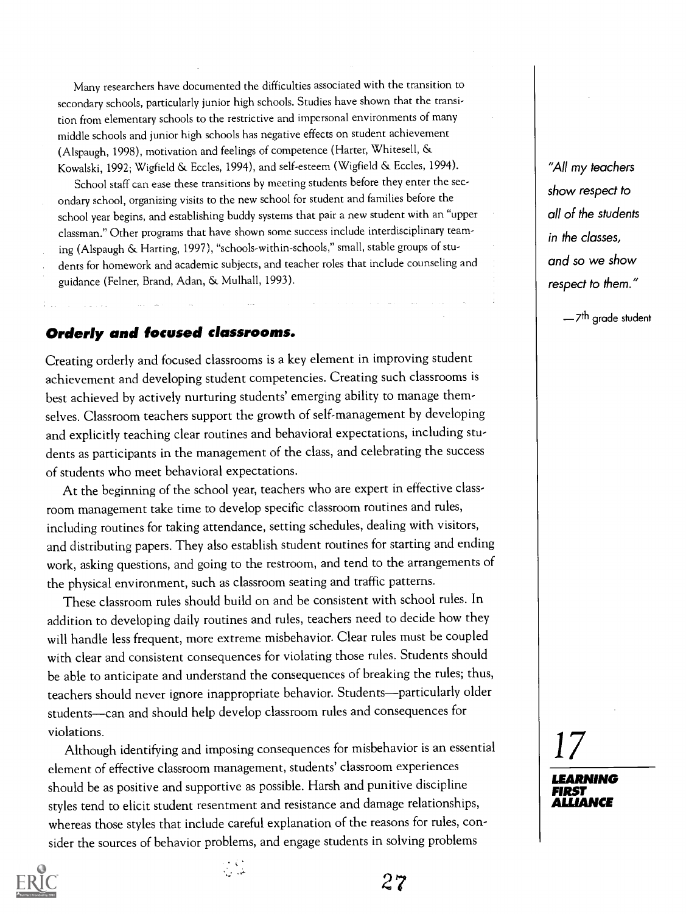Many researchers have documented the difficulties associated with the transition to secondary schools, particularly junior high schools. Studies have shown that the transition from elementary schools to the restrictive and impersonal environments of many middle schools and junior high schools has negative effects on student achievement (Alspaugh, 1998), motivation and feelings of competence (Harter, Whitesell, & Kowalski, 1992; Wigfield & Eccles, 1994), and self-esteem (Wigfield & Eccles, 1994).

School staff can ease these transitions by meeting students before they enter the secondary school, organizing visits to the new school for student and families before the school year begins, and establishing buddy systems that pair a new student with an "upper classman." Other programs that have shown some success include interdisciplinary teaming (Alspaugh & Harting, 1997), "schools-within-schools," small, stable groups of students for homework and academic subjects, and teacher roles that include counseling and guidance (Felner, Brand, Adan, & Mulhall, 1993).

#### Orderly and focused classrooms.

Creating orderly and focused classrooms is a key element in improving student achievement and developing student competencies. Creating such classrooms is best achieved by actively nurturing students' emerging ability to manage themselves. Classroom teachers support the growth of self-management by developing and explicitly teaching clear routines and behavioral expectations, including students as participants in the management of the class, and celebrating the success of students who meet behavioral expectations.

At the beginning of the school year, teachers who are expert in effective classroom management take time to develop specific classroom routines and rules, including routines for taking attendance, setting schedules, dealing with visitors, and distributing papers. They also establish student routines for starting and ending work, asking questions, and going to the restroom, and tend to the arrangements of the physical environment, such as classroom seating and traffic patterns.

These classroom rules should build on and be consistent with school rules. In addition to developing daily routines and rules, teachers need to decide how they will handle less frequent, more extreme misbehavior. Clear rules must be coupled with clear and consistent consequences for violating those rules. Students should be able to anticipate and understand the consequences of breaking the rules; thus, teachers should never ignore inappropriate behavior. Students-particularly older students-can and should help develop classroom rules and consequences for violations.

Although identifying and imposing consequences for misbehavior is an essential element of effective classroom management, students' classroom experiences should be as positive and supportive as possible. Harsh and punitive discipline styles tend to elicit student resentment and resistance and damage relationships, whereas those styles that include careful explanation of the reasons for rules, consider the sources of behavior problems, and engage students in solving problems

"All my teachers show respect to all of the students in the classes, and so we show respect to them."

-7<sup>th</sup> grade student

17



2 7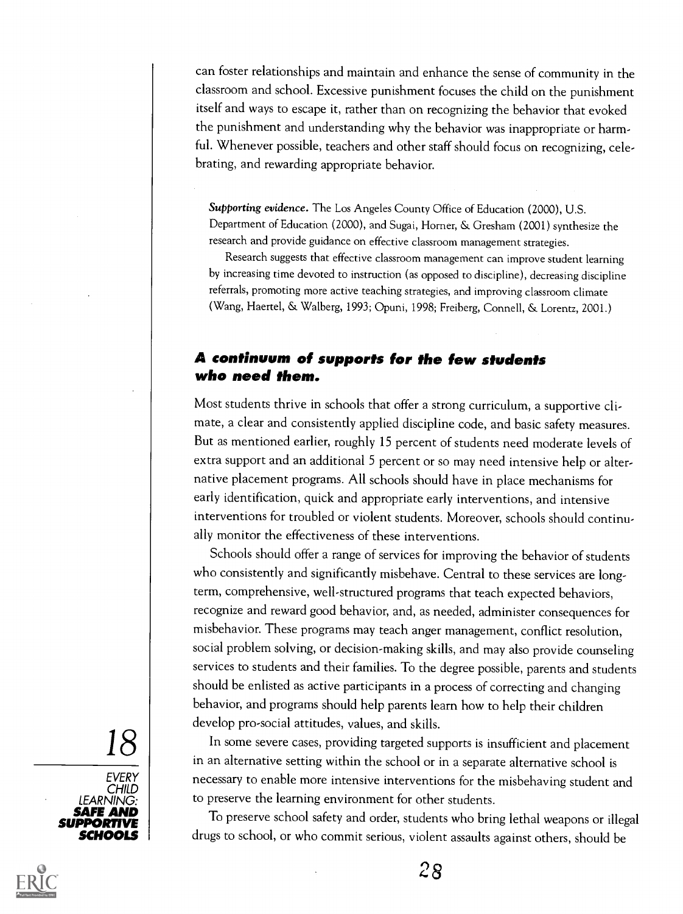can foster relationships and maintain and enhance the sense of community in the classroom and school. Excessive punishment focuses the child on the punishment itself and ways to escape it, rather than on recognizing the behavior that evoked the punishment and understanding why the behavior was inappropriate or harmful. Whenever possible, teachers and other staff should focus on recognizing, celebrating, and rewarding appropriate behavior.

Supporting evidence. The Los Angeles County Office of Education (2000), U.S. Department of Education (2000), and Sugai, Horner, & Gresham (2001) synthesize the research and provide guidance on effective classroom management strategies.

Research suggests that effective classroom management can improve student learning by increasing time devoted to instruction (as opposed to discipline), decreasing discipline referrals, promoting more active teaching strategies, and improving classroom climate (Wang, Haertel, & Walberg, 1993; Opuni, 1998; Freiberg, Connell, & Lorentz, 2001.)

#### A continuum of supports for the few students who need them.

Most students thrive in schools that offer a strong curriculum, a supportive climate, a clear and consistently applied discipline code, and basic safety measures. But as mentioned earlier, roughly 15 percent of students need moderate levels of extra support and an additional 5 percent or so may need intensive help or alternative placement programs. All schools should have in place mechanisms for early identification, quick and appropriate early interventions, and intensive interventions for troubled or violent students. Moreover, schools should continually monitor the effectiveness of these interventions.

Schools should offer a range of services for improving the behavior of students who consistently and significantly misbehave. Central to these services are longterm, comprehensive, well-structured programs that teach expected behaviors, recognize and reward good behavior, and, as needed, administer consequences for misbehavior. These programs may teach anger management, conflict resolution, social problem solving, or decision-making skills, and may also provide counseling services to students and their families. To the degree possible, parents and students should be enlisted as active participants in a process of correcting and changing behavior, and programs should help parents learn how to help their children develop pro-social attitudes, values, and skills.

 $18<sup>18</sup>$  In some severe cases, providing targeted supports is insufficient and placement EVERY | T CHILD | **Antique Child** in an alternative setting within the school or in a separate alternative school is necessary to enable more intensive interventions for the misbehaving student and to preserve the learning environment for other students.

**SCHOOLS** I drugs to school, or who commit serious, violent assaults against others, should be To preserve school safety and order, students who bring lethal weapons or illegal



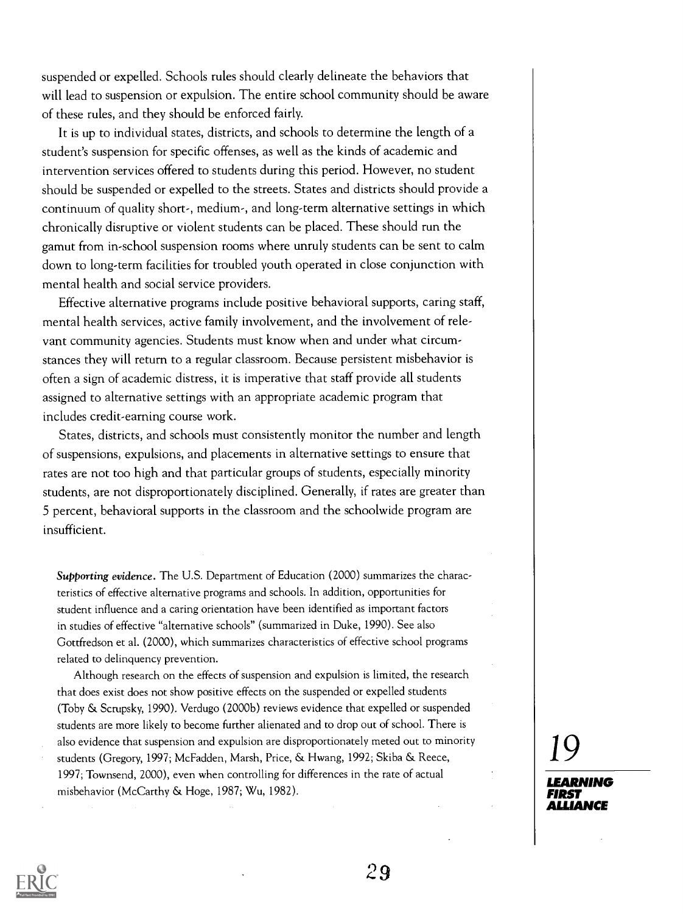suspended or expelled. Schools rules should clearly delineate the behaviors that will lead to suspension or expulsion. The entire school community should be aware of these rules, and they should be enforced fairly.

It is up to individual states, districts, and schools to determine the length of a student's suspension for specific offenses, as well as the kinds of academic and intervention services offered to students during this period. However, no student should be suspended or expelled to the streets. States and districts should provide a continuum of quality short-, medium-, and long-term alternative settings in which chronically disruptive or violent students can be placed. These should run the gamut from in-school suspension rooms where unruly students can be sent to calm down to long-term facilities for troubled youth operated in close conjunction with mental health and social service providers.

Effective alternative programs include positive behavioral supports, caring staff, mental health services, active family involvement, and the involvement of relevant community agencies. Students must know when and under what circumstances they will return to a regular classroom. Because persistent misbehavior is often a sign of academic distress, it is imperative that staff provide all students assigned to alternative settings with an appropriate academic program that includes credit-earning course work.

States, districts, and schools must consistently monitor the number and length of suspensions, expulsions, and placements in alternative settings to ensure that rates are not too high and that particular groups of students, especially minority students, are not disproportionately disciplined. Generally, if rates are greater than 5 percent, behavioral supports in the classroom and the schoolwide program are insufficient.

Supporting evidence. The U.S. Department of Education (2000) summarizes the characteristics of effective alternative programs and schools. In addition, opportunities for student influence and a caring orientation have been identified as important factors in studies of effective "alternative schools" (summarized in Duke, 1990). See also Gottfredson et al. (2000), which summarizes characteristics of effective school programs related to delinquency prevention.

Although research on the effects of suspension and expulsion is limited, the research that does exist does not show positive effects on the suspended or expelled students (Toby & Scrupsky, 1990). Verdugo (2000b) reviews evidence that expelled or suspended students are more likely to become further alienated and to drop out of school. There is also evidence that suspension and expulsion are disproportionately meted out to minority students (Gregory, 1997; McFadden, Marsh, Price, & Hwang, 1992; Skiba & Reece, 1997; Townsend, 2000), even when controlling for differences in the rate of actual misbehavior (McCarthy & Hoge, 1987; Wu, 1982).

19 **LEADNING** 

ALLIANCE

FIRST

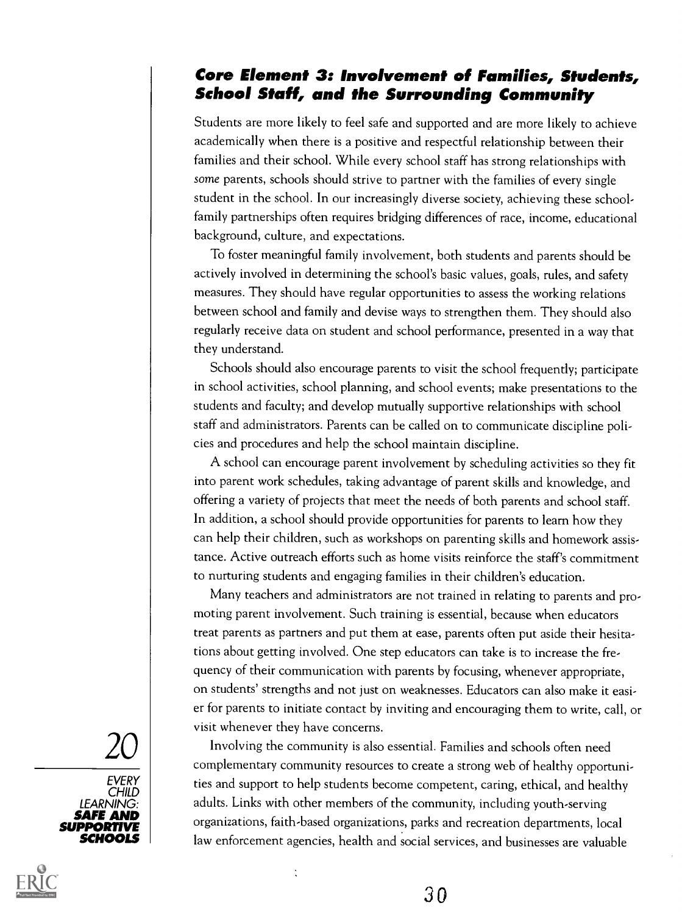### Core Element 3: Involvement of Families, Students, School Staff, and the Surrounding Community

Students are more likely to feel safe and supported and are more likely to achieve academically when there is a positive and respectful relationship between their families and their school. While every school staff has strong relationships with some parents, schools should strive to partner with the families of every single student in the school. In our increasingly diverse society, achieving these schoolfamily partnerships often requires bridging differences of race, income, educational background, culture, and expectations.

To foster meaningful family involvement, both students and parents should be actively involved in determining the school's basic values, goals, rules, and safety measures. They should have regular opportunities to assess the working relations between school and family and devise ways to strengthen them. They should also regularly receive data on student and school performance, presented in a way that they understand.

Schools should also encourage parents to visit the school frequently; participate in school activities, school planning, and school events; make presentations to the students and faculty; and develop mutually supportive relationships with school staff and administrators. Parents can be called on to communicate discipline policies and procedures and help the school maintain discipline.

A school can encourage parent involvement by scheduling activities so they fit into parent work schedules, taking advantage of parent skills and knowledge, and offering a variety of projects that meet the needs of both parents and school staff. In addition, a school should provide opportunities for parents to learn how they can help their children, such as workshops on parenting skills and homework assistance. Active outreach efforts such as home visits reinforce the staff's commitment to nurturing students and engaging families in their children's education.

Many teachers and administrators are not trained in relating to parents and promoting parent involvement. Such training is essential, because when educators treat parents as partners and put them at ease, parents often put aside their hesitations about getting involved. One step educators can take is to increase the frequency of their communication with parents by focusing, whenever appropriate, on students' strengths and not just on weaknesses. Educators can also make it easier for parents to initiate contact by inviting and encouraging them to write, call, or visit whenever they have concerns.

 $20$  Involving the community is also essential. Families and schools often need<br>complementary community resources to create a strong web of boalthy opportuni **SAFE AND** organizations, faith-based organizations, parks and recreation departments, local **SCHOOLS** I law enforcement agencies, health and social services, and businesses are valuable complementary community resources to create a strong web of healthy opportunities and support to help students become competent, caring, ethical, and healthy adults. Links with other members of the community, including youth-serving





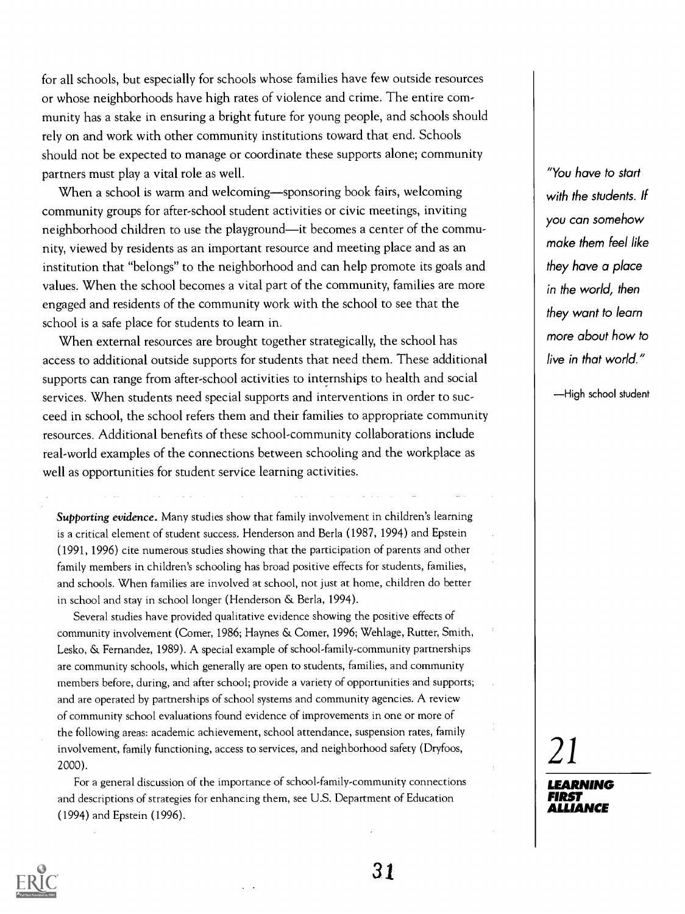for all schools, but especially for schools whose families have few outside resources or whose neighborhoods have high rates of violence and crime. The entire community has a stake in ensuring a bright future for young people, and schools should rely on and work with other community institutions toward that end. Schools should not be expected to manage or coordinate these supports alone; community partners must play a vital role as well.

When a school is warm and welcoming—sponsoring book fairs, welcoming community groups for after-school student activities or civic meetings, inviting neighborhood children to use the playground—it becomes a center of the community, viewed by residents as an important resource and meeting place and as an institution that "belongs" to the neighborhood and can help promote its goals and values. When the school becomes a vital part of the community, families are more engaged and residents of the community work with the school to see that the school is a safe place for students to learn in.

When external resources are brought together strategically, the school has access to additional outside supports for students that need them. These additional supports can range from after-school activities to internships to health and social services. When students need special supports and interventions in order to succeed in school, the school refers them and their families to appropriate community resources. Additional benefits of these school-community collaborations include real-world examples of the connections between schooling and the workplace as well as opportunities for student service learning activities.

Supporting evidence. Many studies show that family involvement in children's learning is a critical element of student success. Henderson and Berla (1987, 1994) and Epstein (1991, 1996) cite numerous studies showing that the participation of parents and other family members in children's schooling has broad positive effects for students, families, and schools. When families are involved at school, not just at home, children do better in school and stay in school longer (Henderson & Berla, 1994).

Several studies have provided qualitative evidence showing the positive effects of community involvement (Comer, 1986; Haynes & Comer, 1996; Wehlage, Rutter, Smith, Lesko, & Fernandez, 1989). A special example of school-family-community partnerships are community schools, which generally are open to students, families, and community members before, during, and after school; provide a variety of opportunities and supports; and are operated by partnerships of school systems and community agencies. A review of community school evaluations found evidence of improvements in one or more of the following areas: academic achievement, school attendance, suspension rates, family involvement, family functioning, access to services, and neighborhood safety (Dryfoos, 2000).

For a general discussion of the importance of school-family-community connections and descriptions of strategies for enhancing them, see U.S. Department of Education (1994) and Epstein (1996).

"You have to start with the students. If you can somehow make them feel like they have a place in the world, then they want to learn more about how to live in that world."

-High school student

21

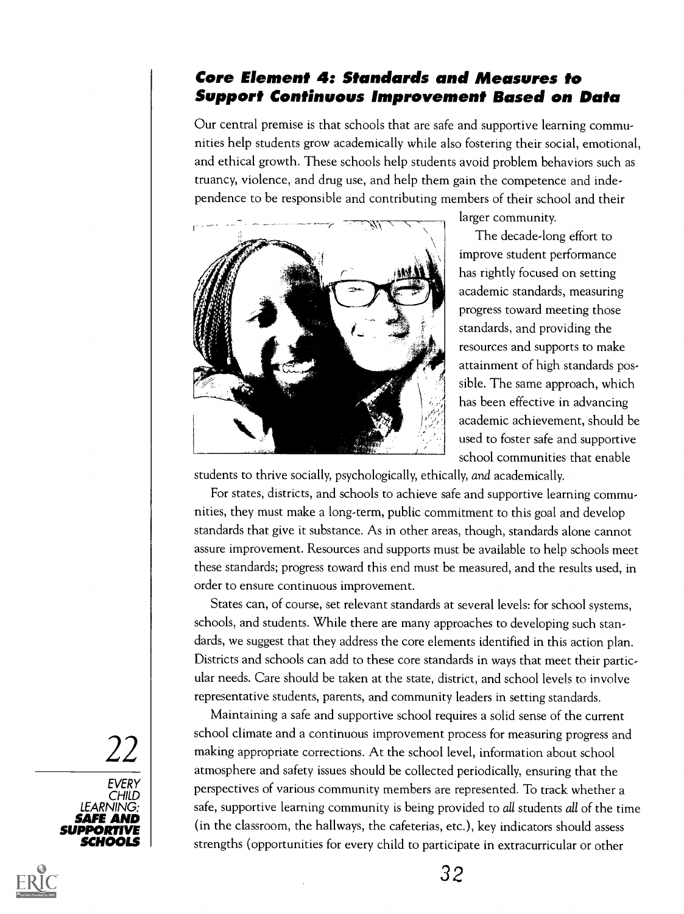### Core Element 4: Standards and Measures to Support Continuous Improvement Based on Data

Our central premise is that schools that are safe and supportive learning communities help students grow academically while also fostering their social, emotional, and ethical growth. These schools help students avoid problem behaviors such as truancy, violence, and drug use, and help them gain the competence and independence to be responsible and contributing members of their school and their



larger community.

The decade-long effort to improve student performance has rightly focused on setting academic standards, measuring progress toward meeting those standards, and providing the resources and supports to make attainment of high standards possible. The same approach, which has been effective in advancing academic achievement, should be used to foster safe and supportive school communities that enable

students to thrive socially, psychologically, ethically, and academically.

For states, districts, and schools to achieve safe and supportive learning communities, they must make a long-term, public commitment to this goal and develop standards that give it substance. As in other areas, though, standards alone cannot assure improvement. Resources and supports must be available to help schools meet these standards; progress toward this end must be measured, and the results used, in order to ensure continuous improvement.

States can, of course, set relevant standards at several levels: for school systems, schools, and students. While there are many approaches to developing such standards, we suggest that they address the core elements identified in this action plan. Districts and schools can add to these core standards in ways that meet their particular needs. Care should be taken at the state, district, and school levels to involve representative students, parents, and community leaders in setting standards.

22 making appropriate corrections. At the school level, information about school **SAFE AND** (in the classroom, the hallways, the cafeterias, etc.), key indicators should assess SCHOOLS *\* sti Maintaining a safe and supportive school requires a solid sense of the current school climate and a continuous improvement process for measuring progress and atmosphere and safety issues should be collected periodically, ensuring that the perspectives of various community members are represented. To track whether a safe, supportive learning community is being provided to all students all of the time strengths (opportunities for every child to participate in extracurricular or other



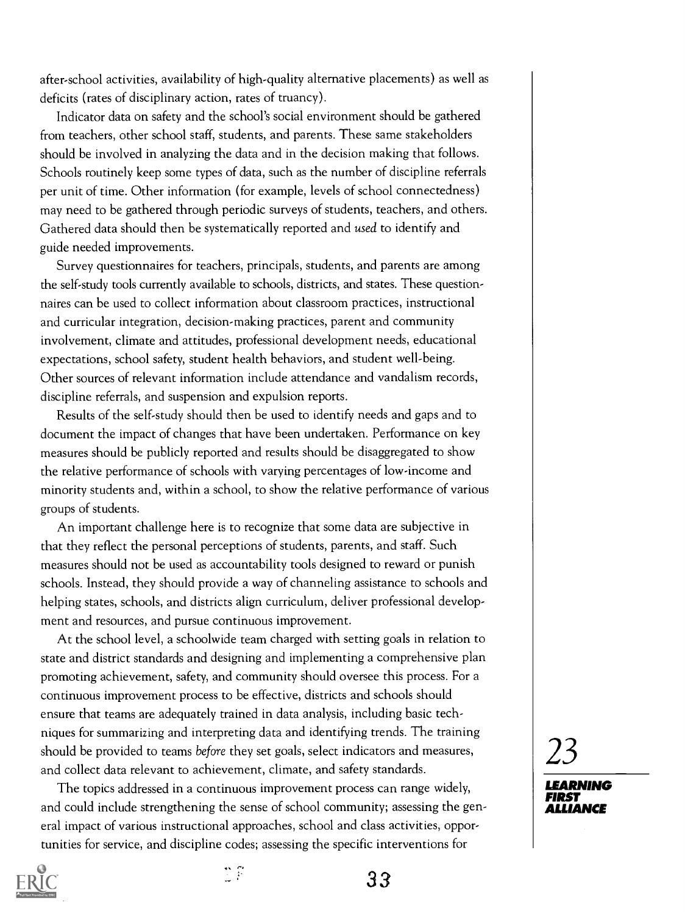after-school activities, availability of high-quality alternative placements) as well as deficits (rates of disciplinary action, rates of truancy).

Indicator data on safety and the school's social environment should be gathered from teachers, other school staff, students, and parents. These same stakeholders should be involved in analyzing the data and in the decision making that follows. Schools routinely keep some types of data, such as the number of discipline referrals per unit of time. Other information (for example, levels of school connectedness) may need to be gathered through periodic surveys of students, teachers, and others. Gathered data should then be systematically reported and used to identify and guide needed improvements.

Survey questionnaires for teachers, principals, students, and parents are among the self-study tools currently available to schools, districts, and states. These questionnaires can be used to collect information about classroom practices, instructional and curricular integration, decision-making practices, parent and community involvement, climate and attitudes, professional development needs, educational expectations, school safety, student health behaviors, and student well-being. Other sources of relevant information include attendance and vandalism records, discipline referrals, and suspension and expulsion reports.

Results of the self-study should then be used to identify needs and gaps and to document the impact of changes that have been undertaken. Performance on key measures should be publicly reported and results should be disaggregated to show the relative performance of schools with varying percentages of low-income and minority students and, within a school, to show the relative performance of various groups of students.

An important challenge here is to recognize that some data are subjective in that they reflect the personal perceptions of students, parents, and staff. Such measures should not be used as accountability tools designed to reward or punish schools. Instead, they should provide a way of channeling assistance to schools and helping states, schools, and districts align curriculum, deliver professional development and resources, and pursue continuous improvement.

At the school level, a schoolwide team charged with setting goals in relation to state and district standards and designing and implementing a comprehensive plan promoting achievement, safety, and community should oversee this process. For a continuous improvement process to be effective, districts and schools should ensure that teams are adequately trained in data analysis, including basic techniques for summarizing and interpreting data and identifying trends. The training should be provided to teams before they set goals, select indicators and measures, and collect data relevant to achievement, climate, and safety standards.

The topics addressed in a continuous improvement process can range widely, and could include strengthening the sense of school community; assessing the general impact of various instructional approaches, school and class activities, opportunities for service, and discipline codes; assessing the specific interventions for



LEARNING FIRST ALLIANCE



 $\mathbb{R}^n$ 

33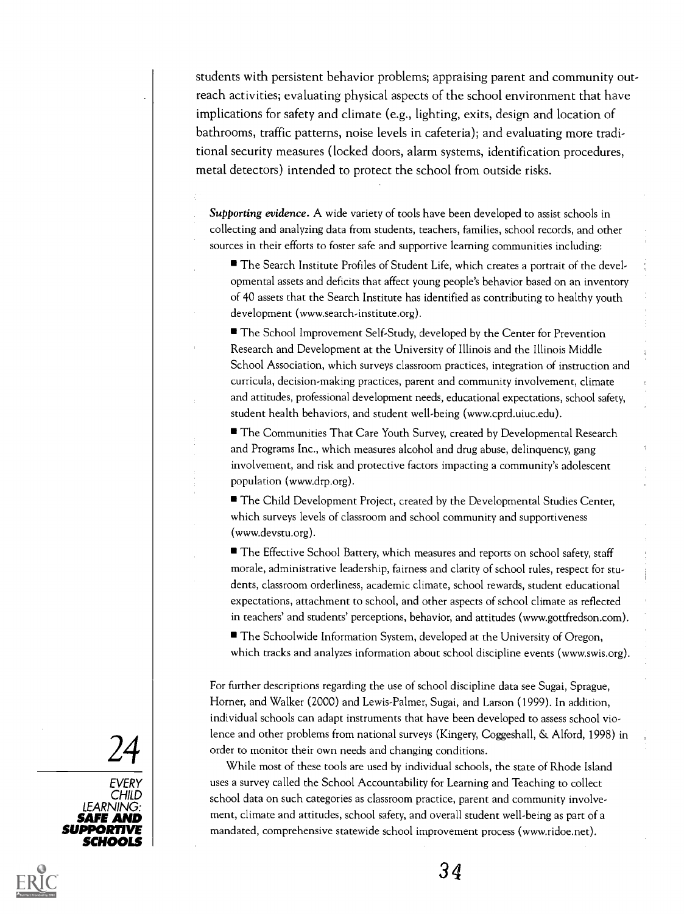students with persistent behavior problems; appraising parent and community outreach activities; evaluating physical aspects of the school environment that have implications for safety and climate (e.g., lighting, exits, design and location of bathrooms, traffic patterns, noise levels in cafeteria); and evaluating more traditional security measures (locked doors, alarm systems, identification procedures, metal detectors) intended to protect the school from outside risks.

Supporting evidence. A wide variety of tools have been developed to assist schools in collecting and analyzing data from students, teachers, families, school records, and other sources in their efforts to foster safe and supportive learning communities including:

The Search Institute Profiles of Student Life, which creates a portrait of the developmental assets and deficits that affect young people's behavior based on an inventory of 40 assets that the Search Institute has identified as contributing to healthy youth development (www.search-institute.org).

■ The School Improvement Self-Study, developed by the Center for Prevention Research and Development at the University of Illinois and the Illinois Middle School Association, which surveys classroom practices, integration of instruction and curricula, decision-making practices, parent and community involvement, climate and attitudes, professional development needs, educational expectations, school safety, student health behaviors, and student well-being (www.cprd.uiuc.edu).

■ The Communities That Care Youth Survey, created by Developmental Research and Programs Inc., which measures alcohol and drug abuse, delinquency, gang involvement, and risk and protective factors impacting a community's adolescent population (www.drp.org).

The Child Development Project, created by the Developmental Studies Center, which surveys levels of classroom and school community and supportiveness (www.devstu.org).

The Effective School Battery, which measures and reports on school safety, staff morale, administrative leadership, fairness and clarity of school rules, respect for students, classroom orderliness, academic climate, school rewards, student educational expectations, attachment to school, and other aspects of school climate as reflected in teachers' and students' perceptions, behavior, and attitudes (www.gottfredson.com).

The Schoolwide Information System, developed at the University of Oregon, which tracks and analyzes information about school discipline events (www.swis.org).

24 While most of these tools are used by individual schools. the whole most of these tools are used by individual schools, the For further descriptions regarding the use of school discipline data see Sugai, Sprague, Horner, and Walker (2000) and Lewis-Palmer, Sugai, and Larson (1999). In addition, individual schools can adapt instruments that have been developed to assess school violence and other problems from national surveys (Kingery, Coggeshall, & Alford, 1998) in

While most of these tools are used by individual schools, the state of Rhode Island uses a survey called the School Accountability for Learning and Teaching to collect school data on such categories as classroom practice, parent and community involvement, climate and attitudes, school safety, and overall student well-being as part of a mandated, comprehensive statewide school improvement process (www.ridoe.net).





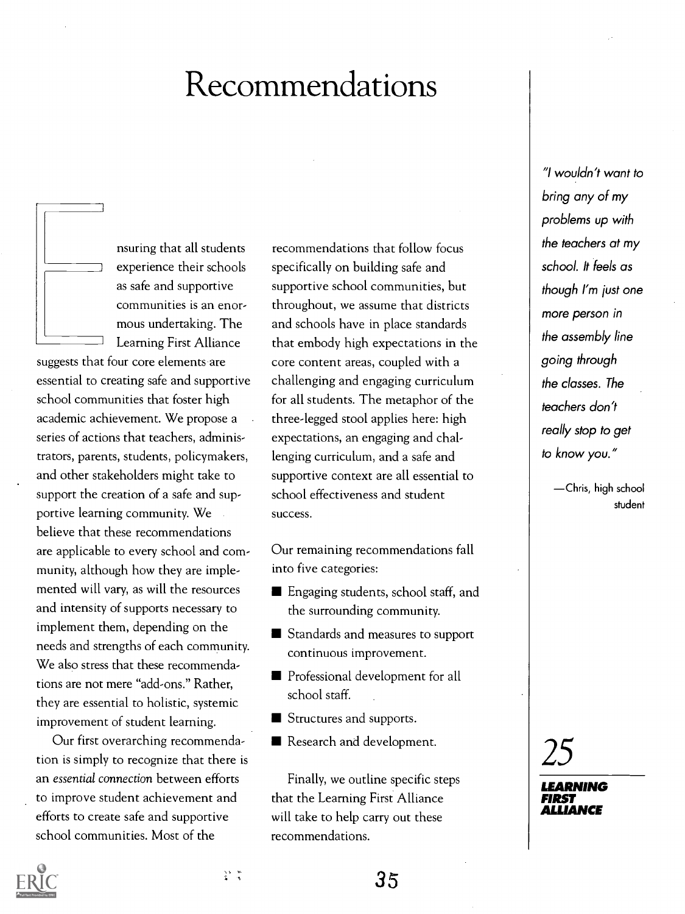# Recommendations



nsuring that all students experience their schools as safe and supportive communities is an enormous undertaking. The Learning First Alliance

suggests that four core elements are essential to creating safe and supportive school communities that foster high academic achievement. We propose a series of actions that teachers, administrators, parents, students, policymakers, and other stakeholders might take to support the creation of a safe and supportive learning community. We believe that these recommendations are applicable to every school and community, although how they are implemented will vary, as will the resources and intensity of supports necessary to implement them, depending on the needs and strengths of each community. We also stress that these recommendations are not mere "add-ons." Rather, they are essential to holistic, systemic improvement of student learning.

Our first overarching recommendation is simply to recognize that there is an essential connection between efforts to improve student achievement and efforts to create safe and supportive school communities. Most of the

recommendations that follow focus specifically on building safe and supportive school communities, but throughout, we assume that districts and schools have in place standards that embody high expectations in the core content areas, coupled with a challenging and engaging curriculum for all students. The metaphor of the three-legged stool applies here: high expectations, an engaging and challenging curriculum, and a safe and supportive context are all essential to school effectiveness and student success.

Our remaining recommendations fall into five categories:

- **Engaging students, school staff, and** the surrounding community.
- Standards and measures to support continuous improvement.
- **Professional development for all** school staff.
- Structures and supports.
- Research and development.

Finally, we outline specific steps that the Learning First Alliance will take to help carry out these recommendations.

"I wouldn't want to bring any of my problems up with the teachers at my school. It feels as though I'm just one more person in the assembly line going through the classes. The teachers don't really stop to get to know you."

> Chris, high school student

25



35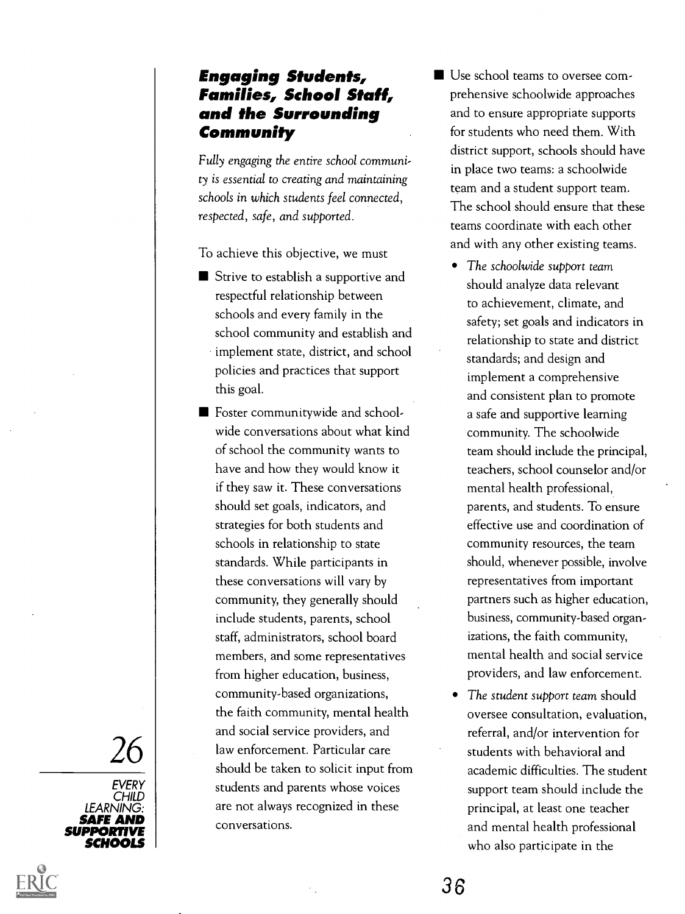### Engaging Students, Families, School Staff, and the Surrounding Community

Fully engaging the entire school community is essential to creating and maintaining schools in which students feel connected, respected, safe, and supported.

To achieve this objective, we must

- Strive to establish a supportive and respectful relationship between schools and every family in the school community and establish and implement state, district, and school policies and practices that support this goal.
- $26$   $\mid$  law enforcement. Particular care<br>should be taken to solicit input from ■ Foster communitywide and schoolwide conversations about what kind of school the community wants to have and how they would know it if they saw it. These conversations should set goals, indicators, and strategies for both students and schools in relationship to state standards. While participants in these conversations will vary by community, they generally should include students, parents, school staff, administrators, school board members, and some representatives from higher education, business, community-based organizations, the faith community, mental health and social service providers, and should be taken to solicit input from students and parents whose voices are not always recognized in these conversations.
- Use school teams to oversee comprehensive schoolwide approaches and to ensure appropriate supports for students who need them. With district support, schools should have in place two teams: a schoolwide team and a student support team. The school should ensure that these teams coordinate with each other and with any other existing teams.
	- The schoolwide support team should analyze data relevant to achievement, climate, and safety; set goals and indicators in relationship to state and district standards; and design and implement a comprehensive and consistent plan to promote a safe and supportive learning community. The schoolwide team should include the principal, teachers, school counselor and/or mental health professional, parents, and students. To ensure effective use and coordination of community resources, the team should, whenever possible, involve representatives from important partners such as higher education, business, community-based organizations, the faith community, mental health and social service providers, and law enforcement.
	- The student support team should oversee consultation, evaluation, referral, and/or intervention for students with behavioral and academic difficulties. The student support team should include the principal, at least one teacher and mental health professional who also participate in the

EVERY | CHILD | **National State** LEARNING: | SAFE AND SUPPORTIVE SCHOOLS **Notes**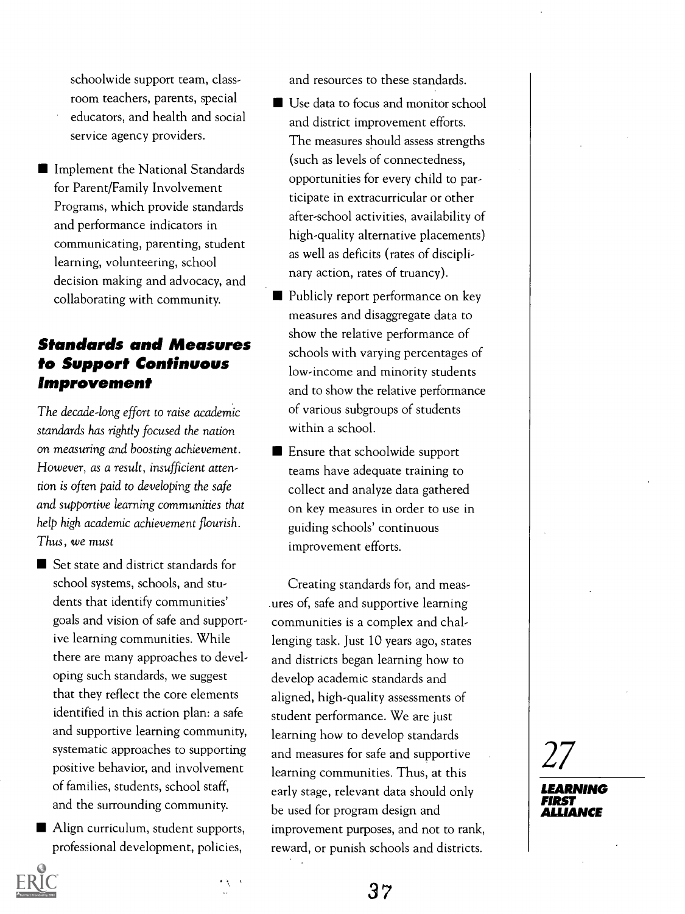schoolwide support team, classroom teachers, parents, special educators, and health and social service agency providers.

**Implement the National Standards** for Parent/Family Involvement Programs, which provide standards and performance indicators in communicating, parenting, student learning, volunteering, school decision making and advocacy, and collaborating with community.

### Standards and Measures to Support Continuous Improvement

The decade-long effort to raise academic standards has rightly focused the nation on measuring and boosting achievement. However, as a result, insufficient attention is often paid to developing the safe and supportive learning communities that help high academic achievement flourish. Thus, we must

- Set state and district standards for school systems, schools, and students that identify communities' goals and vision of safe and supportive learning communities. While there are many approaches to developing such standards, we suggest that they reflect the core elements identified in this action plan: a safe and supportive learning community, systematic approaches to supporting positive behavior, and involvement of families, students, school staff, and the surrounding community.
- Align curriculum, student supports, professional development, policies,

 $\Delta$ 

and resources to these standards.

- Use data to focus and monitor school and district improvement efforts. The measures should assess strengths (such as levels of connectedness, opportunities for every child to participate in extracurricular or other after-school activities, availability of high-quality alternative placements) as well as deficits (rates of disciplinary action, rates of truancy).
- Publicly report performance on key measures and disaggregate data to show the relative performance of schools with varying percentages of low-income and minority students and to show the relative performance of various subgroups of students within a school.
- **E** Ensure that schoolwide support teams have adequate training to collect and analyze data gathered on key measures in order to use in guiding schools' continuous improvement efforts.

Creating standards for, and measures of, safe and supportive learning communities is a complex and challenging task. Just 10 years ago, states and districts began learning how to develop academic standards and aligned, high-quality assessments of student performance. We are just learning how to develop standards and measures for safe and supportive learning communities. Thus, at this early stage, relevant data should only be used for program design and improvement purposes, and not to rank, reward, or punish schools and districts.

27

LEARNING FIRST ALLIANCE

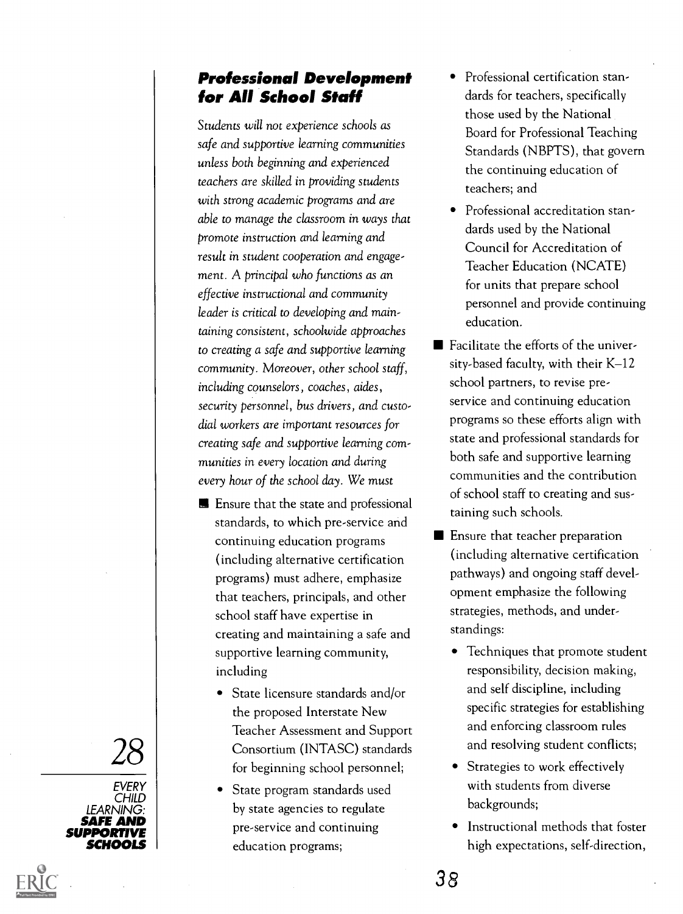### Professional Development for All School Staff

Students will not experience schools as safe and supportive learning communities unless both beginning and experienced teachers are skilled in providing students with strong academic programs and are able to manage the classroom in ways that promote instruction and learning and result in student cooperation and engagement. A principal who functions as an effective instructional and community leader is critical to developing and maintaining consistent, schoolwide approaches to creating a safe and supportive learning community. Moreover, other school staff, including counselors , coaches, aides, security personnel, bus drivers, and custodial workers are important resources for creating safe and supportive learning communities in every location and during every hour of the school day. We must

- **E** Ensure that the state and professional standards, to which pre-service and continuing education programs (including alternative certification programs) must adhere, emphasize that teachers, principals, and other school staff have expertise in creating and maintaining a safe and supportive learning community, including
- $28$   $\mid$  Consortium (INTASC) standards<br>for beginning school personnel: • State licensure standards and/or the proposed Interstate New Teacher Assessment and Support for beginning school personnel;
	- State program standards used by state agencies to regulate pre-service and continuing education programs;
- Professional certification standards for teachers, specifically those used by the National Board for Professional Teaching Standards (NBPTS), that govern the continuing education of teachers; and
- Professional accreditation standards used by the National Council for Accreditation of Teacher Education (NCATE) for units that prepare school personnel and provide continuing education.
- Facilitate the efforts of the university-based faculty, with their K-12 school partners, to revise preservice and continuing education programs so these efforts align with state and professional standards for both safe and supportive learning communities and the contribution of school staff to creating and sustaining such schools.
- **E** Ensure that teacher preparation (including alternative certification pathways) and ongoing staff development emphasize the following strategies, methods, and understandings:
	- Techniques that promote student responsibility, decision making, and self discipline, including specific strategies for establishing and enforcing classroom rules and resolving student conflicts;
	- Strategies to work effectively with students from diverse backgrounds;
	- Instructional methods that foster high expectations, self-direction,

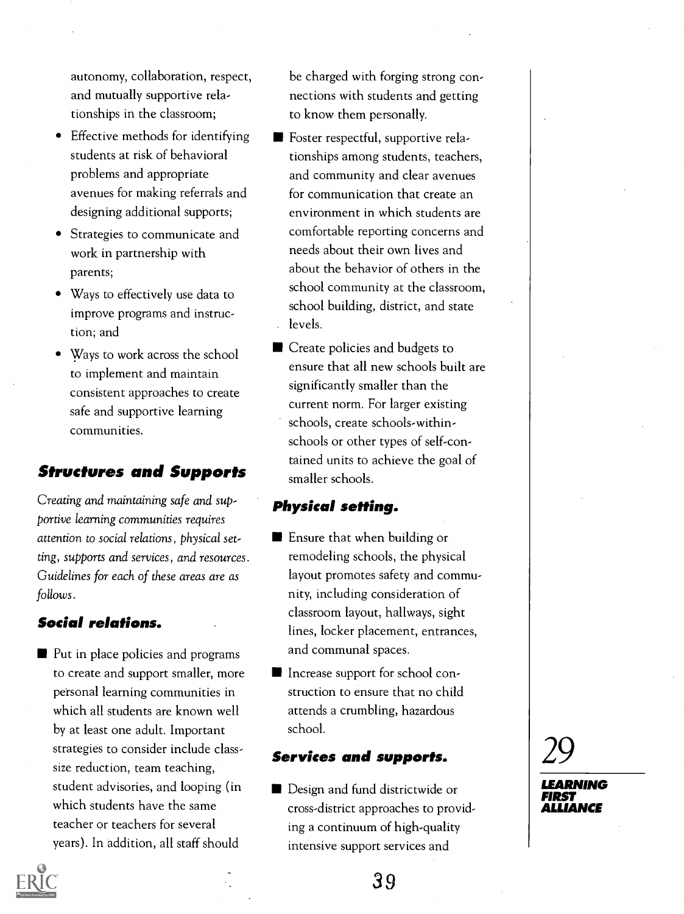autonomy, collaboration, respect, and mutually supportive relationships in the classroom;

- Effective methods for identifying students at risk of behavioral problems and appropriate avenues for making referrals and designing additional supports;
- Strategies to communicate and work in partnership with parents;
- Ways to effectively use data to improve programs and instruction; and
- Ways to work across the school to implement and maintain consistent approaches to create safe and supportive learning communities.

### Structures and Supports

Creating and maintaining safe and supportive learning communities requires attention to social relations, physical setting, supports and services, and resources. Guidelines for each of these areas are as follows.

#### Social relations.

■ Put in place policies and programs to create and support smaller, more personal learning communities in which all students are known well by at least one adult. Important strategies to consider include classsize reduction, team teaching, student advisories, and looping (in which students have the same teacher or teachers for several years). In addition, all staff should

be charged with forging strong connections with students and getting to know them personally.

- Foster respectful, supportive relationships among students, teachers, and community and clear avenues for communication that create an environment in which students are comfortable reporting concerns and needs about their own lives and about the behavior of others in the school community at the classroom, school building, district, and state levels.
- Create policies and budgets to ensure that all new schools built are significantly smaller than the current- norm. For larger existing schools, create schools-withinschools or other types of self-contained units to achieve the goal of smaller schools.

#### Physical setting.

- **E** Ensure that when building or remodeling schools, the physical layout promotes safety and community, including consideration of classroom layout, hallways, sight lines, locker placement, entrances, and communal spaces.
- Increase support for school construction to ensure that no child attends a crumbling, hazardous school.

#### Services and supports.

**Design and fund districtwide or** cross-district approaches to providing a continuum of high-quality intensive support services and

29

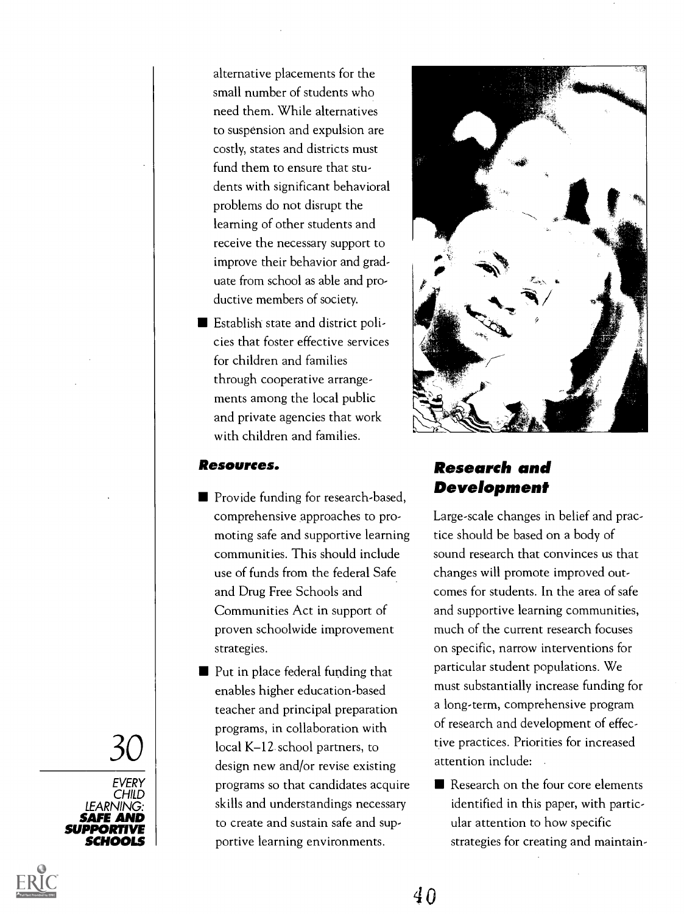alternative placements for the small number of students who need them. While alternatives to suspension and expulsion are costly, states and districts must fund them to ensure that students with significant behavioral problems do not disrupt the learning of other students and receive the necessary support to improve their behavior and graduate from school as able and productive members of society.

**Establish state and district poli**cies that foster effective services for children and families through cooperative arrangements among the local public and private agencies that work with children and families.

#### Resources.

- **Provide funding for research-based,** comprehensive approaches to promoting safe and supportive learning communities. This should include use of funds from the federal Safe and Drug Free Schools and Communities Act in support of proven schoolwide improvement strategies.
- $30$  local K–12 school partners, to the design new and/or revise existing a ■ Put in place federal funding that enables higher education-based teacher and principal preparation programs, in collaboration with design new and/or revise existing programs so that candidates acquire skills and understandings necessary to create and sustain safe and supportive learning environments.



### Research and Development

Large-scale changes in belief and practice should be based on a body of sound research that convinces us that changes will promote improved outcomes for students. In the area of safe and supportive learning communities, much of the current research focuses on specific, narrow interventions for particular student populations. We must substantially increase funding for a long-term, comprehensive program of research and development of effective practices. Priorities for increased attention include:

Research on the four core elements identified in this paper, with particular attention to how specific strategies for creating and maintain-





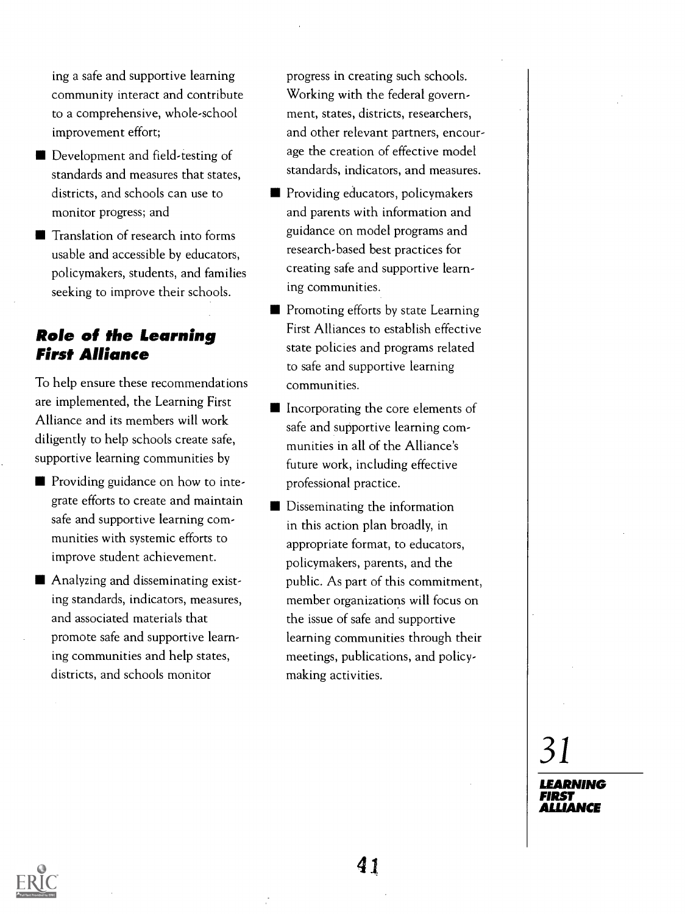ing a safe and supportive learning community interact and contribute to a comprehensive, whole-school improvement effort;

- Development and field-testing of standards and measures that states, districts, and schools can use to monitor progress; and
- **The Translation of research into forms** usable and accessible by educators, policymakers, students, and families seeking to improve their schools.

# Role of the Learning First Alliance

To help ensure these recommendations are implemented, the Learning First Alliance and its members will work diligently to help schools create safe, supportive learning communities by

- **Providing guidance on how to inte**grate efforts to create and maintain safe and supportive learning communities with systemic efforts to improve student achievement.
- Analyzing and disseminating existing standards, indicators, measures, and associated materials that promote safe and supportive learning communities and help states, districts, and schools monitor

progress in creating such schools. Working with the federal government, states, districts, researchers, and other relevant partners, encourage the creation of effective model standards, indicators, and measures.

- **Providing educators, policymakers** and parents with information and guidance on model programs and research-based best practices for creating safe and supportive learning communities.
- **Promoting efforts by state Learning** First Alliances to establish effective state policies and programs related to safe and supportive learning communities.
- Incorporating the core elements of safe and supportive learning communities in all of the Alliance's future work, including effective professional practice.
- **Disseminating the information** in this action plan broadly, in appropriate format, to educators, policymakers, parents, and the public. As part of this commitment, member organizations will focus on the issue of safe and supportive learning communities through their meetings, publications, and policymaking activities.

31 LEARNING FIRST

ALLIANCE

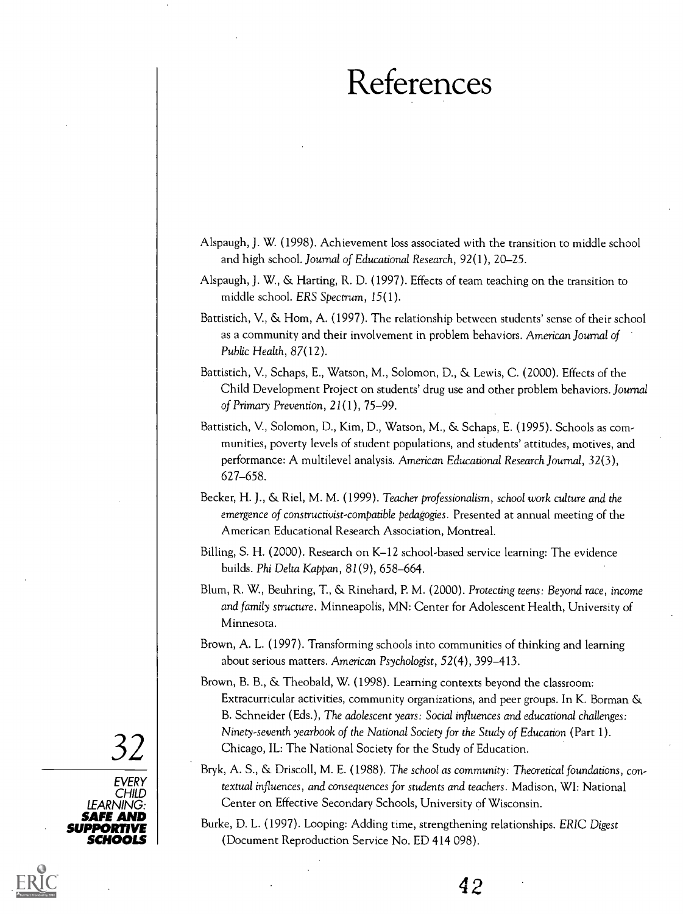# References

- Alspaugh, J. W. (1998). Achievement loss associated with the transition to middle school and high school. Journal of Educational Research, 92(1), 20-25.
- Alspaugh, J. W., & Harting, R. D. (1997). Effects of team teaching on the transition to middle school. ERS Spectrum, 15(1).
- Battistich, V., & Hom, A. (1997). The relationship between students' sense of their school as a community and their involvement in problem behaviors. American Journal of Public Health, 87(12).
- Battistich, V., Schaps, E., Watson, M., Solomon, D., & Lewis, C. (2000). Effects of the Child Development Project on students' drug use and other problem behaviors. Journal of Primary Prevention, 21(1), 75-99.
- Battistich, V., Solomon, D., Kim, D., Watson, M., & Schaps, E. (1995). Schools as communities, poverty levels of student populations, and students' attitudes, motives, and performance: A multilevel analysis. American Educational Research Journal, 32(3), 627-658.
- Becker, H. J., & Riel, M. M. (1999). Teacher professionalism, school work culture and the emergence of constructivist-compatible pedagogies. Presented at annual meeting of the American Educational Research Association, Montreal.
- Billing, S. H. (2000). Research on K-12 school-based service learning: The evidence builds. Phi Delta Kappan, 81(9), 658-664.
- Blum, R. W., Beuhring, T., &. Rinehard, P. M. (2000). Protecting teens: Beyond race, income and family structure. Minneapolis, MN: Center for Adolescent Health, University of Minnesota.
- Brown, A. L. (1997). Transforming schools into communities of thinking and learning about serious matters. American Psychologist, 52(4), 399-413.
- 32 Chicago, IL: The National Society for the Study of Education. Brown, B. B., & Theobald, W. (1998). Learning contexts beyond the classroom: Extracurricular activities, community organizations, and peer groups. In K. Borman & B. Schneider (Eds.), The adolescent years: Social influences and educational challenges: Ninety-seventh yearbook of the National Society for the Study of Education (Part 1).
	- Bryk, A. S., & Driscoll, M. E. (1988). The school as community: Theoretical foundations, contextual influences, and consequences for students and teachers. Madison, WI: National Center on Effective Secondary Schools, University of Wisconsin.
- SUPPORTIVE Burke, D. L. (1997). Looping: Adding time, strengthening relationships. ERIC Digest (Document Reproduction Service No. ED 414 098).

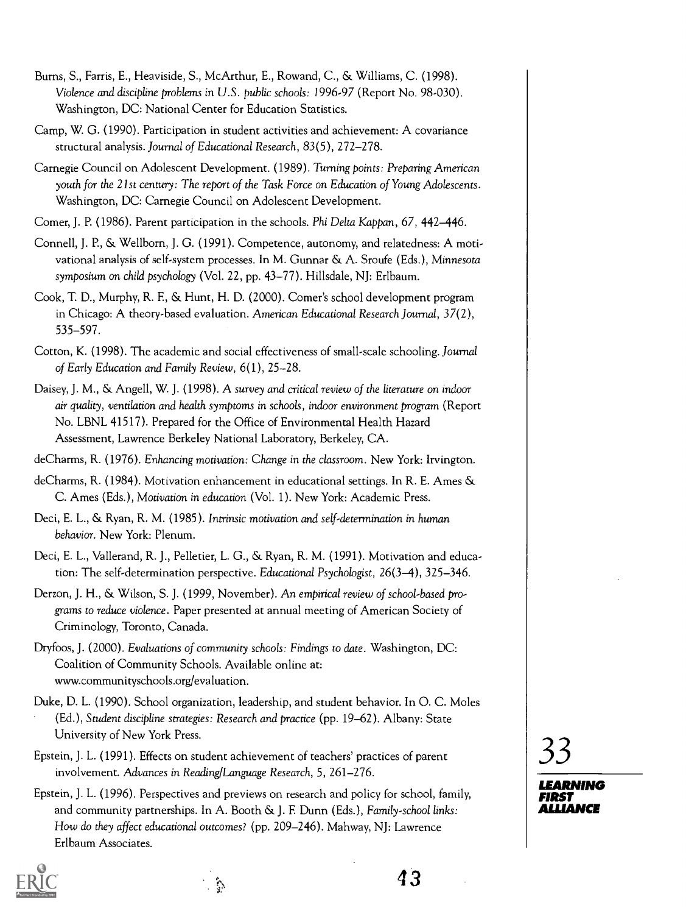- Burns, S., Farris, E., Heaviside, S., McArthur, E., Rowand, C., & Williams, C. (1998). Violence and discipline problems in U.S. public schools: 1996-97 (Report No. 98-030). Washington, DC: National Center for Education Statistics.
- Camp, W. G. (1990). Participation in student activities and achievement: A covariance structural analysis. Journal of Educational Research, 83(5), 272-278.
- Carnegie Council on Adolescent Development. (1989). Turning points: Preparing American youth for the 21st century: The report of the Task Force on Education of Young Adolescents. Washington, DC: Carnegie Council on Adolescent Development.
- Comer, J. P. (1986). Parent participation in the schools. Phi Delta Kappan, 67, 442–446.
- Connell, J. P., St Wellborn, J. G. (1991). Competence, autonomy, and relatedness: A motivational analysis of self-system processes. In M. Gunnar & A. Sroufe (Eds.), Minnesota symposium on child psychology (Vol. 22, pp. 43-77). Hillsdale, NJ: Erlbaum.
- Cook, T. D., Murphy, R. F., & Hunt, H. D. (2000). Comer's school development program in Chicago: A theory-based evaluation. American Educational Research Journal, 37(2), 535-597.
- Cotton, K. (1998). The academic and social effectiveness of small-scale schooling. Journal of Early Education and Family Review, 6(1), 25-28.
- Daisey, J. M., & Angell, W. J. (1998). A survey and critical review of the literature on indoor air quality, ventilation and health symptoms in schools, indoor environment program (Report No. LBNL 41517). Prepared for the Office of Environmental Health Hazard Assessment, Lawrence Berkeley National Laboratory, Berkeley, CA.
- deCharms, R. (1976). Enhancing motivation: Change in the classroom. New York: Irvington.
- deCharms, R. (1984). Motivation enhancement in educational settings. In R. E. Ames & C. Ames (Eds.), Motivation in education (Vol. 1). New York: Academic Press.
- Deci, E. L., & Ryan, R. M. (1985). Intrinsic motivation and self-determination in human behavior. New York: Plenum.
- Deci, E. L., Vallerand, R. J., Pelletier, L. G., & Ryan, R. M. (1991). Motivation and education: The self-determination perspective. Educational Psychologist, 26(3-4), 325-346.
- Derzon, J. H., & Wilson, S. J. (1999, November). An empirical review of school-based programs to reduce violence. Paper presented at annual meeting of American Society of Criminology, Toronto, Canada.
- Dryfoos, J. (2000). Evaluations of community schools: Findings to date. Washington, DC: Coalition of Community Schools. Available online at: www.communityschools.org/evaluation.
- Duke, D. L. (1990). School organization, leadership, and student behavior. In 0. C. Moles (Ed.), Student discipline strategies: Research and practice (pp. 19-62). Albany: State University of New York Press.
- Epstein, J. L. (1991). Effects on student achievement of teachers' practices of parent involvement. Advances in Reading/Language Research, 5,261-276.
- Epstein, J. L. (1996). Perspectives and previews on research and policy for school, family, and community partnerships. In A. Booth & J. F Dunn (Eds.), Family-school links: How do they affect educational outcomes? (pp. 209-246). Mahway, NJ: Lawrence Erlbaum Associates.



33

43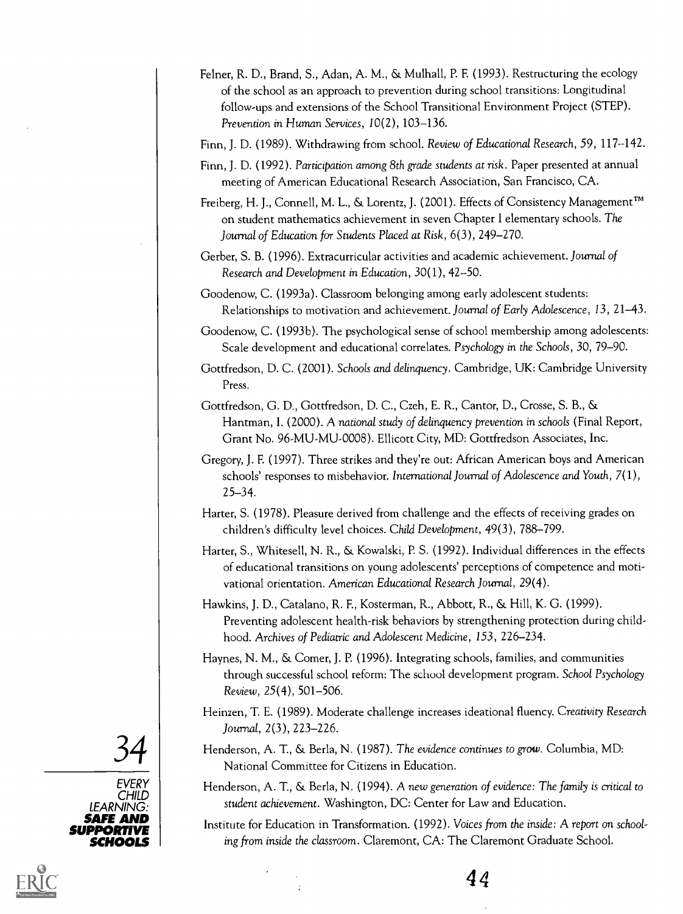- Felner, R. D., Brand, S., Adan, A. M., & Mulhall, P. E (1993). Restructuring the ecology of the school as an approach to prevention during school transitions: Longitudinal follow-ups and extensions of the School Transitional Environment Project (STEP). Prevention in Human Services, 10(2), 103-136.
- Finn, J. D. (1989). Withdrawing from school. Review of Educational Research, 59, 117-142.
- Finn, J. D. (1992). Participation among 8th grade students at risk. Paper presented at annual meeting of American Educational Research Association, San Francisco, CA.
- Freiberg, H. J., Connell, M. L., & Lorentz, J. (2001). Effects of Consistency Management™ on student mathematics achievement in seven Chapter I elementary schools. The Journal of Education for Students Placed at Risk, 6(3), 249-270.
- Gerber, S. B. (1996). Extracurricular activities and academic achievement. Journal of Research and Development in Education, 30(1), 42-50.

Goodenow, C. (1993a). Classroom belonging among early adolescent students: Relationships to motivation and achievement. Journal of Early Adolescence, 13, 21-43.

Goodenow, C. (1993b). The psychological sense of school membership among adolescents: Scale development and educational correlates. Psychology in the Schools, 30, 79-90.

- Gottfredson, D. C. (2001). Schools and delinquency. Cambridge, UK: Cambridge University Press.
- Gottfredson, G. D., Gottfredson, D. C., Czeh, E. R., Cantor, D., Crosse, S. B., & Hantman, I. (2000). A national study of delinquency prevention in schools (Final Report, Grant No. 96-MU-MU-0008). Ellicott City, MD: Gottfredson Associates, Inc.
- Gregory, J. F. (1997). Three strikes and they're out: African American boys and American schools' responses to misbehavior. International Journal of Adolescence and Youth, 7(1), 25-34.
- Harter, S. (1978). Pleasure derived from challenge and the effects of receiving grades on children's difficulty level choices. Child Development, 49(3), 788-799.
- Harter, S., Whitesell, N. R., & Kowalski, P. S. (1992). Individual differences in the effects of educational transitions on young adolescents' perceptions of competence and motivational orientation. American Educational Research Journal, 29(4).
- Hawkins, J. D., Catalano, R. F., Kosterman, R., Abbott, R., & Hill, K. G. (1999). Preventing adolescent health-risk behaviors by strengthening protection during childhood. Archives of Pediatric and Adolescent Medicine, 153, 226-234.
- Haynes, N. M., & Comer, J. P. (1996). Integrating schools, families, and communities through successful school reform: The school development program. School Psychology Review, 25(4), 501-506.
- Heinzen, T. E. (1989). Moderate challenge increases ideational fluency. Creativity Research Journal, 2(3), 223-226.
- $\left\{\text{34}\atop \right\}$  Henderson, A. T., & Berla, N. (1987). The evidence continues to grow. Columbia, MD:<br>National Committee for Citizens in Education. National Committee for Citizens in Education.
	- Henderson, A. T., & Berla, N. (1994). A new generation of evidence: The family is critical to student achievement. Washington, DC: Center for Law and Education.
- **SAFE AND**<br>**IDDOPTIVE** Institute for Education in Transformation. (1992). Voices from the inside: A report on schooling from inside the classroom. Claremont, CA: The Claremont Graduate School.



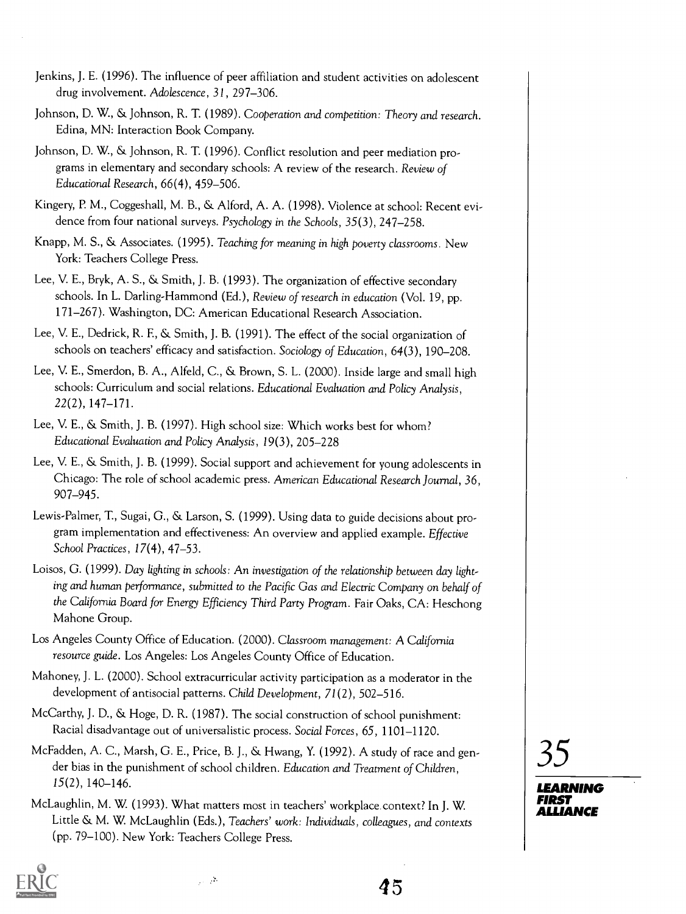- Jenkins, J. E. (1996). The influence of peer affiliation and student activities on adolescent drug involvement. Adolescence, 31,297-306.
- Johnson, D. W., & Johnson, R. T. (1989). Cooperation and competition: Theory and research. Edina, MN: Interaction Book Company.
- Johnson, D. W., & Johnson, R. T. (1996). Conflict resolution and peer mediation programs in elementary and secondary schools: A review of the research. Review of Educational Research, 66(4), 459-506.
- Kingery, P. M., Coggeshall, M. B., & Alford, A. A. (1998). Violence at school: Recent evidence from four national surveys. Psychology in the Schools, 35(3), 247-258.
- Knapp, M. S., & Associates. (1995). Teaching for meaning in high poverty classrooms. New York: Teachers College Press.
- Lee, V. E., Bryk, A. S., & Smith, J. B. (1993). The organization of effective secondary schools. In L. Darling-Hammond (Ed.), Review of research in education (Vol. 19, pp. 171-267). Washington, DC: American Educational Research Association.
- Lee, V. E., Dedrick, R. E, & Smith, J. B. (1991). The effect of the social organization of schools on teachers' efficacy and satisfaction. Sociology of Education, 64(3), 190-208.
- Lee, V. E., Smerdon, B. A., Alfeld, C., & Brown, S. L. (2000). Inside large and small high schools: Curriculum and social relations. Educational Evaluation and Policy Analysis, 22(2), 147-171.
- Lee, V. E., & Smith, J. B. (1997). High school size: Which works best for whom? Educational Evaluation and Policy Analysis, 19(3), 205-228
- Lee, V. E., & Smith, J. B. (1999). Social support and achievement for young adolescents in Chicago: The role of school academic press. American Educational Research Journal, 36, 907-945.
- Lewis-Palmer, T., Sugai, G., & Larson, S. (1999). Using data to guide decisions about program implementation and effectiveness: An overview and applied example. Effective School Practices, 17(4), 47-53.
- Loisos, G. (1999). Day lighting in schools: An investigation of the relationship between day lighting and human performance, submitted to the Pacific Gas and Electric Company on behalf of the California Board for Energy Efficiency Third Party Program. Fair Oaks, CA: Heschong Mahone Group.
- Los Angeles County Office of Education. (2000). Classroom management: A California resource guide. Los Angeles: Los Angeles County Office of Education.
- Mahoney, J. L. (2000). School extracurricular activity participation as a moderator in the development of antisocial patterns. Child Development, 71(2), 502-516.
- McCarthy, J. D., & Hoge, D. R. (1987). The social construction of school punishment: Racial disadvantage out of universalistic process. Social Forces, 65, 1101-1120.
- McFadden, A. C., Marsh, G. E., Price, B. J., & Hwang, Y. (1992). A study of race and gender bias in the punishment of school children. Education and Treatment of Children, 15(2), 140-146.
- McLaughlin, M. W. (1993). What matters most in teachers' workplace context? In J. W. Little & M. W. McLaughlin (Eds.), Teachers' work: Individuals, colleagues, and contexts (pp. 79-100). New York: Teachers College Press.



 $\sim$   $2$ 

35

LEARNING

FIRST ALLIANCE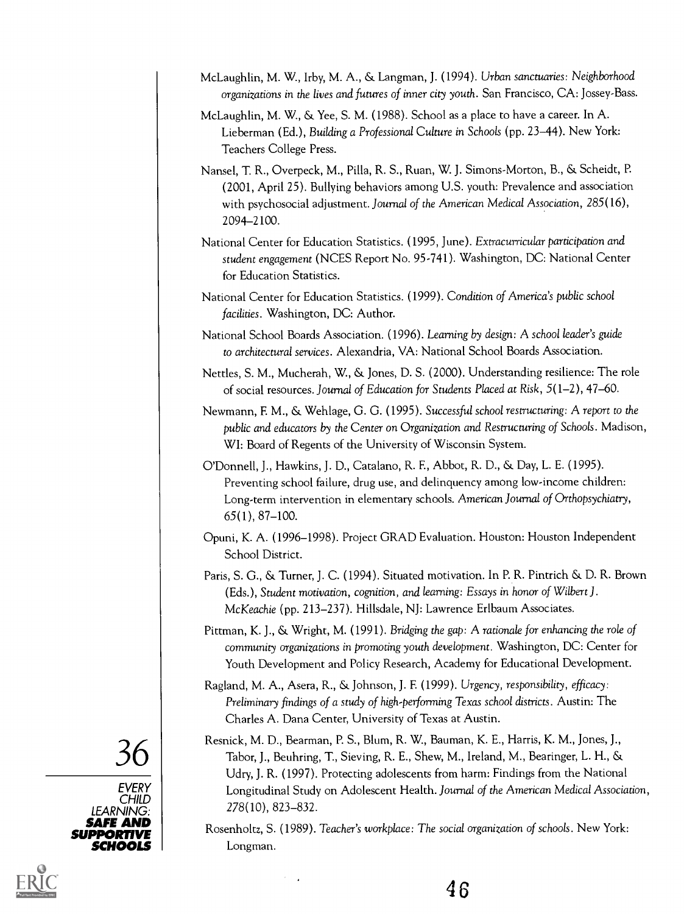- McLaughlin, M. W., Irby, M. A., & Langman, J. (1994). Urban sanctuaries: Neighborhood organizations in the lives and futures of inner city youth. San Francisco, CA: Jossey-Bass.
- McLaughlin, M. W., & Yee, S. M. (1988). School as a place to have a career. In A. Lieberman (Ed.), Building a Professional Culture in Schools (pp. 23-44). New York: Teachers College Press.
- Nansel, T. R., Overpeck, M., Pilla, R. S., Ruan, W. J. Simons-Morton, B., & Scheidt, P. (2001, April 25). Bullying behaviors among U.S. youth: Prevalence and association with psychosocial adjustment. Journal of the American Medical Association, 285(16), 2094-2100.
- National Center for Education Statistics. (1995, June). Extracurricular participation and student engagement (NCES Report No. 95-741). Washington, DC: National Center for Education Statistics.
- National Center for Education Statistics. (1999). Condition of America's public school facilities. Washington, DC: Author.

National School Boards Association. (1996). Learning by design: A school leader's guide to architectural services. Alexandria, VA: National School Boards Association.

- Nettles, S. M., Mucherah, W., & Jones, D. S. (2000). Understanding resilience: The role of social resources. Journal of Education for Students Placed at Risk, 5(1-2), 47-60.
- Newmann, F. M., & Wehlage, G. G. (1995). Successful school restructuring: A report to the public and educators by the Center on Organization and Restructuring of Schools. Madison, WI: Board of Regents of the University of Wisconsin System.
- O'Donnell, J., Hawkins, J. D., Catalano, R. F., Abbot, R. D., & Day, L. E. (1995). Preventing school failure, drug use, and delinquency among low-income children: Long-term intervention in elementary schools. American Journal of Orthopsychiatry, 65(1), 87-100.
- Opuni, K. A. (1996-1998). Project GRAD Evaluation. Houston: Houston Independent School District.
- Paris, S. G., & Turner, J. C. (1994). Situated motivation. In P. R. Pintrich & D. R. Brown (Eds.), Student motivation, cognition, and learning: Essays in honor of Wilbert J . McKeachie (pp. 213-237). Hillsdale, NJ: Lawrence Erlbaum Associates.
- Pittman, K. J., & Wright, M. (1991). Bridging the gap: A rationale for enhancing the role of community organizations in promoting youth development. Washington, DC: Center for Youth Development and Policy Research, Academy for Educational Development.
- Ragland, M. A., Asera, R., & Johnson, J. F. (1999). Urgency, responsibility, efficacy: Preliminary findings of a study of high-performing Texas school districts. Austin: The Charles A. Dana Center, University of Texas at Austin.
- $36$  Resinct, M. D., b CHILD | **North State** Resnick, M. D., Bearman, P. S., Blum, R. W., Bauman, K. E., Harris, K. M., Jones, J., Tabor, J., Beuhring, T., Sieving, R. E., Shew, M., Ireland, M., Bearinger, L. H., & Udry, J. R. (1997). Protecting adolescents from harm: Findings from the National Longitudinal Study on Adolescent Health. Journal of the American Medical Association, 278(10), 823-832.
- **SAFE AND** Rosenholtz, S. (1989). Teacher's workplace: The social organization of schools. New York: **SUPPORTIVE** SCHOOLS **Night** Longman.



EVERY

LEARNING: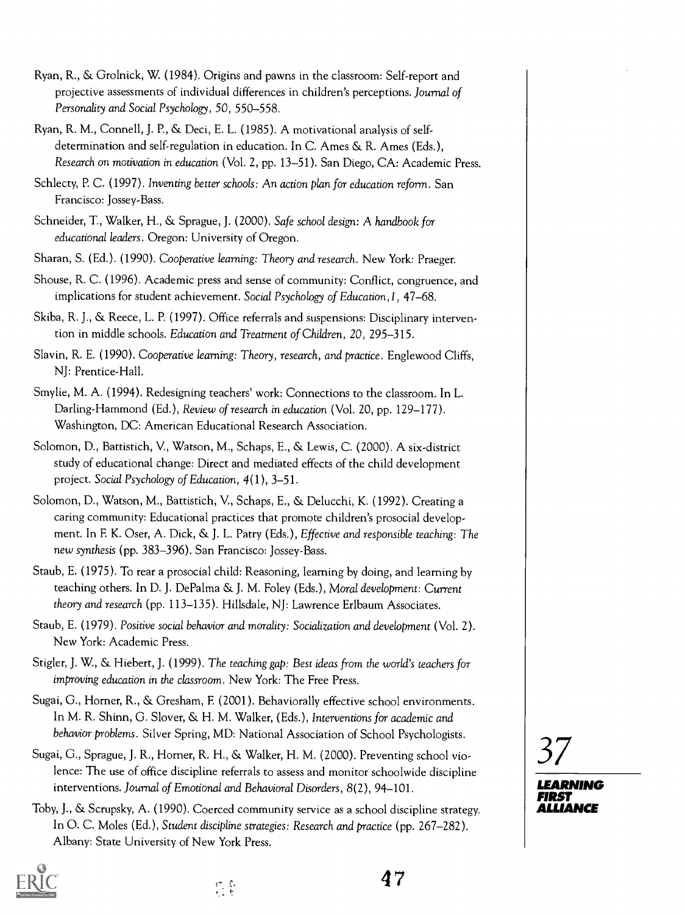- Ryan, R., & Grolnick, W. (1984). Origins and pawns in the classroom: Self-report and projective assessments of individual differences in children's perceptions. Journal of Personality and Social Psychology, 50,550-558.
- Ryan, R. M., Connell, J. P., & Deci, E. L. (1985). A motivational analysis of selfdetermination and self-regulation in education. In C. Ames & R. Ames (Eds.), Research on motivation in education (Vol. 2, pp. 13-51). San Diego, CA: Academic Press.
- Schlecty, P. C. (1997). Inventing better schools: An action plan for education reform. San Francisco: Jossey-Bass.
- Schneider, T., Walker, H., & Sprague, J. (2000). Safe school design: A handbook for educational leaders. Oregon: University of Oregon.
- Sharan, S. (Ed.). (1990). Cooperative learning: Theory and research. New York: Praeger.
- Shouse, R. C. (1996). Academic press and sense of community: Conflict, congruence, and implications for student achievement. Social Psychology of Education, 1, 47–68.
- Skiba, R. J., & Reece, L. P. (1997). Office referrals and suspensions: Disciplinary intervention in middle schools. Education and Treatment of Children, 20,295-315.
- Slavin, R. E. (1990). Cooperative learning: Theory, research, and practice. Englewood Cliffs, NJ: Prentice-Hall.
- Smylie, M. A. (1994). Redesigning teachers' work: Connections to the classroom. In L. Darling-Hammond (Ed.), Review of research in education (Vol. 20, pp. 129-177). Washington, DC: American Educational Research Association.
- Solomon, D., Battistich, V., Watson, M., Schaps, E., & Lewis, C. (2000). A six-district study of educational change: Direct and mediated effects of the child development project. Social Psychology of Education, 4(1), 3-51.
- Solomon, D., Watson, M., Battistich, V., Schaps, E., & Delucchi, K. (1992). Creating a caring community: Educational practices that promote children's prosocial development. In F. K. Oser, A. Dick, & J. L. Patry (Eds.), Effective and responsible teaching: The new synthesis (pp. 383-396). San Francisco: Jossey-Bass.
- Staub, E. (1975). To rear a prosocial child: Reasoning, learning by doing, and learning by teaching others. In D. J. DePalma & J. M. Foley (Eds.), Moral development: Current theory and research (pp. 113-135). Hillsdale, NJ: Lawrence Erlbaum Associates.
- Staub, E. (1979). Positive social behavior and morality: Socialization and development (Vol. 2). New York: Academic Press.
- Stigler, J. W., & Hiebert, J. (1999). The teaching gap: Best ideas from the world's teachers for improving education in the classroom. New York: The Free Press.
- Sugai, G., Horner, R., & Gresham, F. (2001). Behaviorally effective school environments. In M. R. Shinn, G. Slover, & H. M. Walker, (Eds.), Interventions for academic and behavior problems. Silver Spring, MD: National Association of School Psychologists.
- Sugai, G., Sprague, J. R., Homer, R. H., & Walker, H. M. (2000). Preventing school violence: The use of office discipline referrals to assess and monitor schoolwide discipline interventions. Journal of Emotional and Behavioral Disorders, 8(2), 94-101.
- Toby, J., & Scrupsky, A. (1990). Coerced community service as a school discipline strategy. In 0. C. Moles (Ed.), Student discipline strategies: Research and practice (pp. 267-282). Albany: State University of New York Press.



4 7

# 37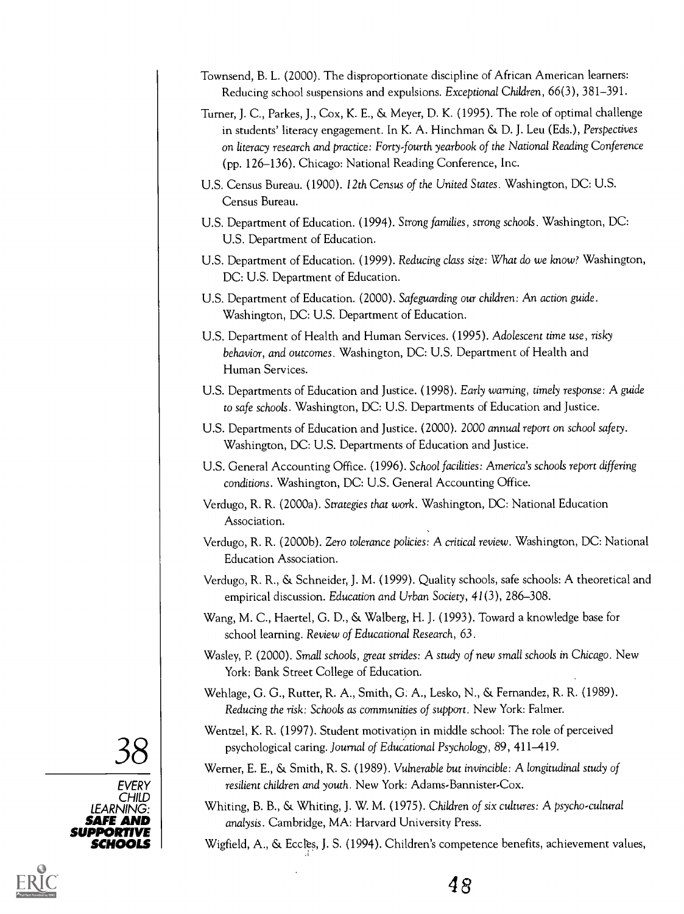- Townsend, B. L. (2000). The disproportionate discipline of African American learners: Reducing school suspensions and expulsions. Exceptional Children, 66(3), 381-391.
- Turner, J. C., Parkes, J., Cox, K. E., & Meyer, D. K. (1995). The role of optimal challenge in students' literacy engagement. In K. A. Hinchman & D. J. Leu (Eds.), Perspectives on literacy research and practice: Forty-fourth yearbook of the National Reading Conference (pp. 126-136). Chicago: National Reading Conference, Inc.
- U.S. Census Bureau. (1900). 12th Census of the United States. Washington, DC: U.S. Census Bureau.
- U.S. Department of Education. (1994). Strong families, strong schools. Washington, DC: U.S. Department of Education.
- U.S. Department of Education. (1999). Reducing class size: What do we know? Washington, DC: U.S. Department of Education.
- U.S. Department of Education. (2000). Safeguarding our children: An action guide. Washington, DC: U.S. Department of Education.
- U.S. Department of Health and Human Services. (1995). Adolescent time use, risky behavior, and outcomes. Washington, DC: U.S. Department of Health and Human Services.
- U.S. Departments of Education and Justice. (1998). Early warning, timely response: A guide to safe schools. Washington, DC: U.S. Departments of Education and Justice.
- U.S. Departments of Education and Justice. (2000). 2000 annual report on school safety. Washington, DC: U.S. Departments of Education and Justice.
- U.S. General Accounting Office. (1996). School facilities: America's schools report differing conditions. Washington, DC: U.S. General Accounting Office.
- Verdugo, R. R. (2000a). Strategies that work. Washington, DC: National Education Association.
- Verdugo, R. R. (2000b). Zero tolerance policies: A critical review. Washington, DC: National Education Association.
- Verdugo, R. R., & Schneider, J. M. (1999). Quality schools, safe schools: A theoretical and empirical discussion. Education and Urban Society, 41(3), 286-308.
- Wang, M. C., Haertel, G. D., & Walberg, H. J. (1993). Toward a knowledge base for school learning. Review of Educational Research, 63.
- Wasley, P. (2000). Small schools, great strides: A study of new small schools in Chicago. New York: Bank Street College of Education.
- Wehlage, G. G., Rutter, R. A., Smith, G. A., Lesko, N., & Fernandez, R. R. (1989). Reducing the risk: Schools as communities of support. New York: Falmer.
- $\mathcal{S}8$  sychological caring. Journal of Educational Psychology, 89, 411–419.<br>Werner, E. E., & Smith, R. S. (1989). Vulnerable but invincible: A longitudinal study of Wentzel, K. R. (1997). Student motivation in middle school: The role of perceived psychological caring. Journal of Educational Psychology, 89, 411-419.
	- resilient children and youth. New York: Adams-Bannister-Cox.
	- Whiting, B. B., & Whiting, J. W. M. (1975). Children of six cultures: A psycho-cultural analysis. Cambridge, MA: Harvard University Press.
- SCHOOLS Wigfield, A., & Ecctes, J. S. (1994). Children's competence benefits, achievement values,



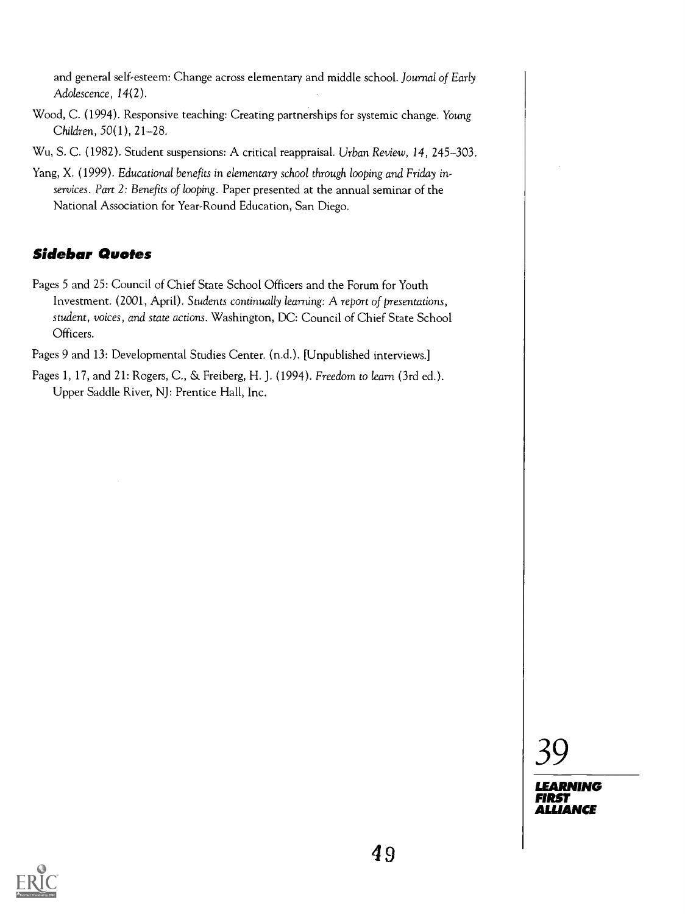and general self-esteem: Change across elementary and middle school. Journal of Early Adolescence, 14(2).

- Wood, C. (1994). Responsive teaching: Creating partnerships for systemic change. Young Children, 50(1), 21-28,
- Wu, S. C. (1982). Student suspensions: A critical reappraisal. Urban Review, 14, 245-303.
- Yang, X. (1999). Educational benefits in elementary school through looping and Friday inservices. Part 2: Benefits of looping. Paper presented at the annual seminar of the National Association for Year-Round Education, San Diego.

#### Sidebar Quotes

- Pages 5 and 25: Council of Chief State School Officers and the Forum for Youth Investment. (2001, April). Students continually learning: A report of presentations, student, voices, and state actions. Washington, DC: Council of Chief State School Officers.
- Pages 9 and 13: Developmental Studies Center. (n.d.). [Unpublished interviews.]
- Pages 1, 17, and 21: Rogers, C., & Freiberg, H. J. (1994). Freedom to learn (3rd ed.). Upper Saddle River, NJ: Prentice Hall, Inc.



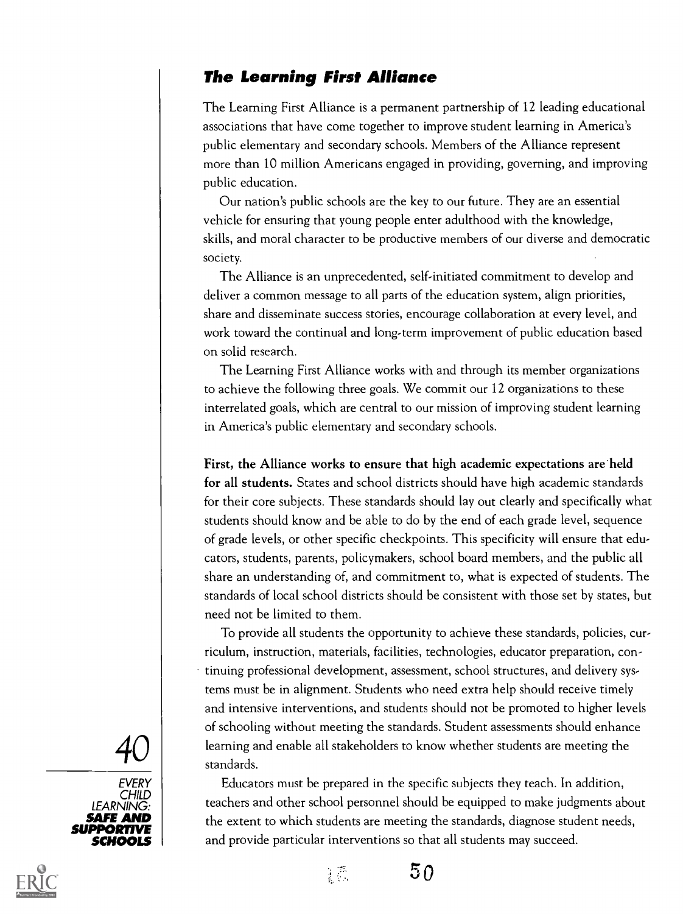### The Learning First Alliance

The Learning First Alliance is a permanent partnership of 12 leading educational associations that have come together to improve student learning in America's public elementary and secondary schools. Members of the Alliance represent more than 10 million Americans engaged in providing, governing, and improving public education.

Our nation's public schools are the key to our future. They are an essential vehicle for ensuring that young people enter adulthood with the knowledge, skills, and moral character to be productive members of our diverse and democratic society.

The Alliance is an unprecedented, self-initiated commitment to develop and deliver a common message to all parts of the education system, align priorities, share and disseminate success stories, encourage collaboration at every level, and work toward the continual and long-term improvement of public education based on solid research.

The Learning First Alliance works with and through its member organizations to achieve the following three goals. We commit our 12 organizations to these interrelated goals, which are central to our mission of improving student learning in America's public elementary and secondary schools.

First, the Alliance works to ensure that high academic expectations are held for all students. States and school districts should have high academic standards for their core subjects. These standards should lay out clearly and specifically what students should know and be able to do by the end of each grade level, sequence of grade levels, or other specific checkpoints. This specificity will ensure that educators, students, parents, policymakers, school board members, and the public all share an understanding of, and commitment to, what is expected of students. The standards of local school districts should be consistent with those set by states, but need not be limited to them.

 $\left. \mathbf{40} \; \right| \;$  learning and enable all stakeholders to know whether students are meeting the standards. To provide all students the opportunity to achieve these standards, policies, curriculum, instruction, materials, facilities, technologies, educator preparation, continuing professional development, assessment, school structures, and delivery systems must be in alignment. Students who need extra help should receive timely and intensive interventions, and students should not be promoted to higher levels of schooling without meeting the standards. Student assessments should enhance standards.

**SAFE AND**  $\begin{bmatrix} \bullet & \bullet & \bullet \end{bmatrix}$  the extent to which students are meeting the standards, diagnose student needs, SCHOOLS and provide particular interventions so that all students may succeed. Educators must be prepared in the specific subjects they teach. In addition, teachers and other school personnel should be equipped to make judgments about







 $50$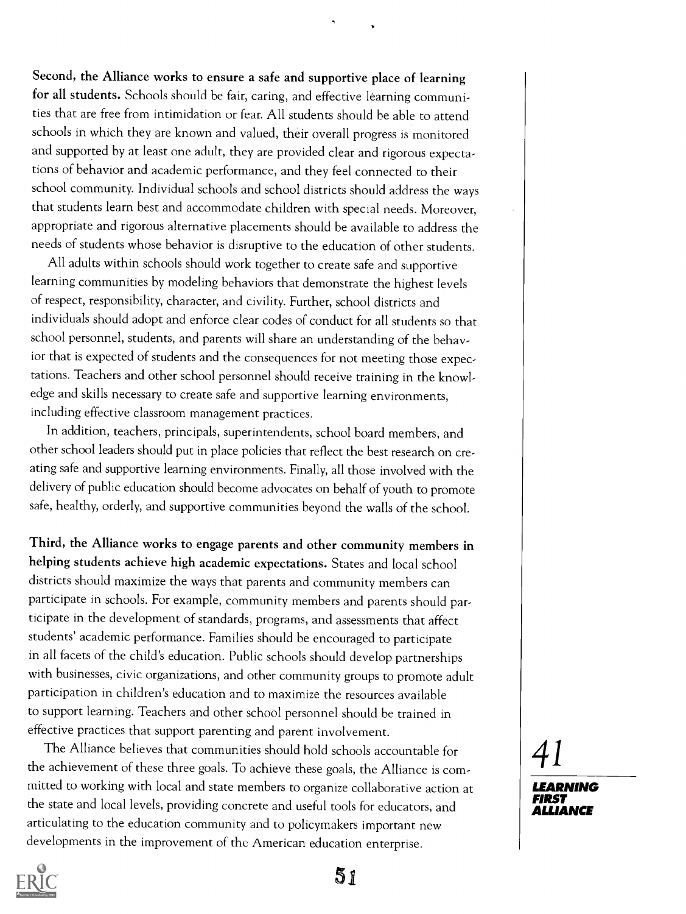Second, the Alliance works to ensure a safe and supportive place of learning for all students. Schools should be fair, caring, and effective learning communities that are free from intimidation or fear. All students should be able to attend schools in which they are known and valued, their overall progress is monitored and supported by at least one adult, they are provided clear and rigorous expectations of behavior and academic performance, and they feel connected to their school community. Individual schools and school districts should address the ways that students learn best and accommodate children with special needs. Moreover, appropriate and rigorous alternative placements should be available to address the needs of students whose behavior is disruptive to the education of other students.

All adults within schools should work together to create safe and supportive learning communities by modeling behaviors that demonstrate the highest levels of respect, responsibility, character, and civility. Further, school districts and individuals should adopt and enforce clear codes of conduct for all students so that school personnel, students, and parents will share an understanding of the behavior that is expected of students and the consequences for not meeting those expectations. Teachers and other school personnel should receive training in the knowledge and skills necessary to create safe and supportive learning environments, including effective classroom management practices.

In addition, teachers, principals, superintendents, school board members, and other school leaders should put in place policies that reflect the best research on creating safe and supportive learning environments. Finally, all those involved with the delivery of public education should become advocates on behalf of youth to promote safe, healthy, orderly, and supportive communities beyond the walls of the school.

Third, the Alliance works to engage parents and other community members in helping students achieve high academic expectations. States and local school districts should maximize the ways that parents and community members can participate in schools. For example, community members and parents should participate in the development of standards, programs, and assessments that affect students' academic performance. Families should be encouraged to participate in all facets of the child's education. Public schools should develop partnerships with businesses, civic organizations, and other community groups to promote adult participation in children's education and to maximize the resources available to support learning. Teachers and other school personnel should be trained in effective practices that support parenting and parent involvement.

The Alliance believes that communities should hold schools accountable for the achievement of these three goals. To achieve these goals, the Alliance is committed to working with local and state members to organize collaborative action at the state and local levels, providing concrete and useful tools for educators, and articulating to the education community and to policymakers important new developments in the improvement of the American education enterprise.

41

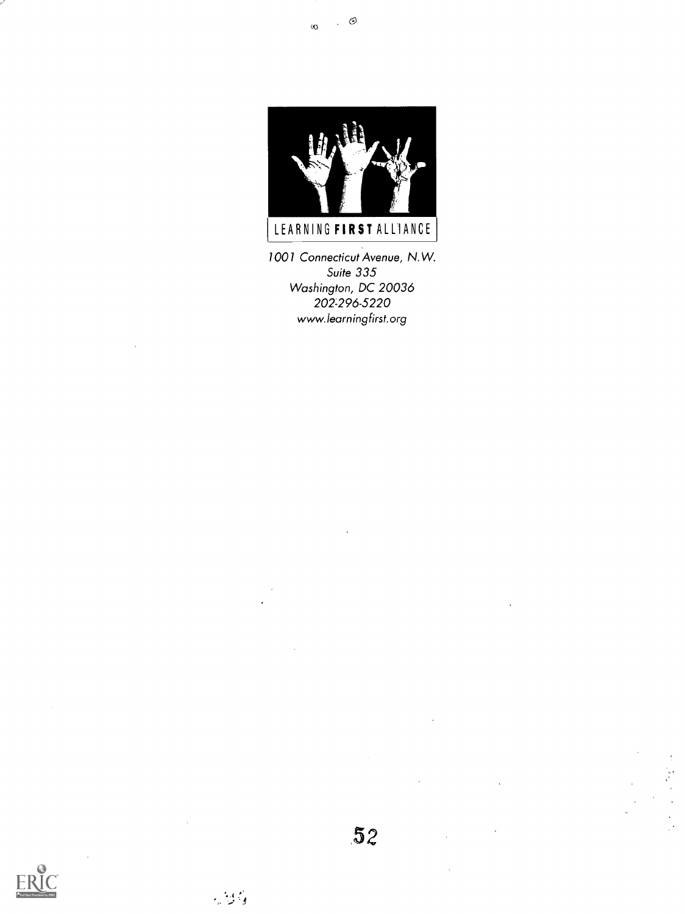

1001 Connecticut Avenue, N.W. Suite 335 Washington, DC 20036 202-296-5220 www.learningfirst.org



 $\sim 2\%$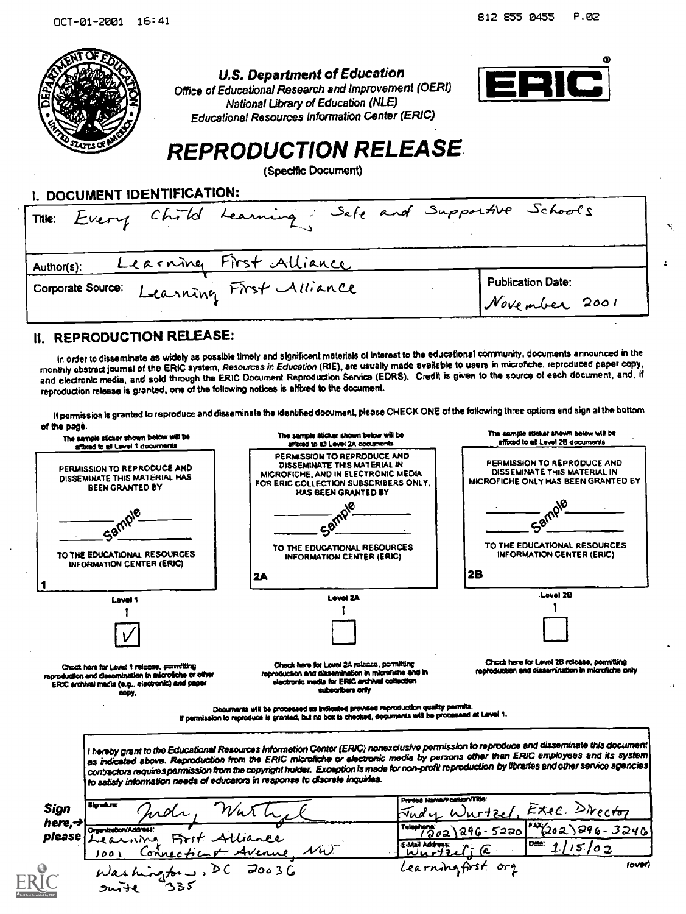

U.S. Department of Education

Office of Educational Research and Improvement (OERI) National library of Education (NLE) Educational Resources Information Center (ERIC)



### REPRODUCTION RELEASE.

(Speciftc Document)

| I. UUUUMENT IVENTIFIVATIVIII<br>Trie: Every Child Learning, Safe and Supportive Schools |                                           |  |  |  |  |
|-----------------------------------------------------------------------------------------|-------------------------------------------|--|--|--|--|
| Learning First Alliance<br>Author(s):<br>Corporate Source: Learning First Alliance      | <b>Publication Date:</b><br>November 2001 |  |  |  |  |

#### U. REPRODUCTION RELEASE:

**JUITE** 

L DOCUMENT IDENTIFICATION:

In order to disseminate as widely as possible timely and significant materials of Interest to the educational corrrnunity, documents announced in the monthly abstract journal of the ERIC system, Resources in Education (RIE), are usually made available to users in microfiche, reproduced paper copy, and electronic media, and sold through the ERIC Document Reproduction Service (EDRS). Credit is given to the source of each document. and, if reproduction release is granted, one of the following notices is affixed to the document.

permission is granted to reproduce end disseminate the identified document, pleaseCHECK ONE of the following three options and sign at the bottom of the page.